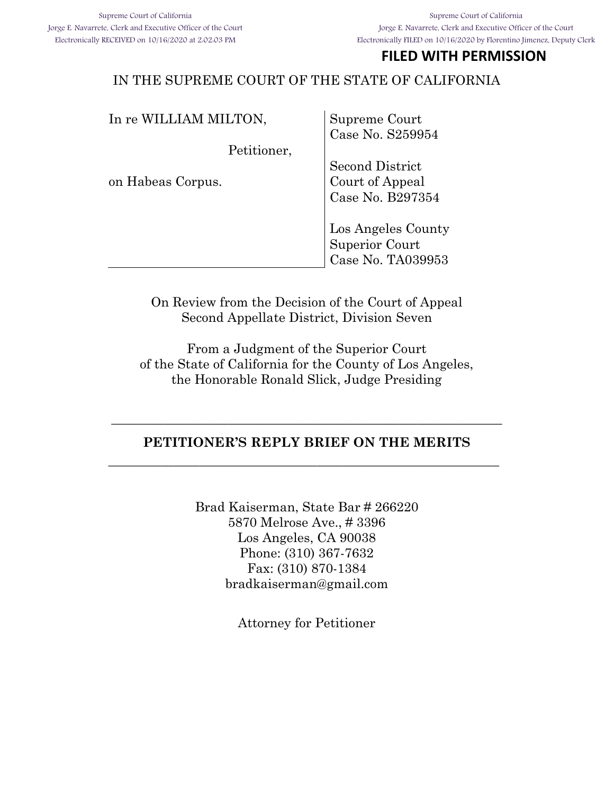## **FILED WITH PERMISSION**

### IN THE SUPREME COURT OF THE STATE OF CALIFORNIA

| In re WILLIAM MILTON, | Supreme Court                       |
|-----------------------|-------------------------------------|
|                       | Case No. S259954                    |
| Petitioner,           |                                     |
|                       | <b>Second District</b>              |
| on Habeas Corpus.     | Court of Appeal<br>Case No. B297354 |
|                       |                                     |
|                       |                                     |
|                       | Los Angeles County                  |
|                       | Superior Court                      |
|                       | Case No. TA039953                   |
|                       |                                     |

On Review from the Decision of the Court of Appeal Second Appellate District, Division Seven

From a Judgment of the Superior Court of the State of California for the County of Los Angeles, the Honorable Ronald Slick, Judge Presiding

#### **PETITIONER'S REPLY BRIEF ON THE MERITS**

**\_\_\_\_\_\_\_\_\_\_\_\_\_\_\_\_\_\_\_\_\_\_\_\_\_\_\_\_\_\_\_\_\_\_\_\_\_\_\_\_\_\_\_\_\_\_\_\_\_\_\_\_\_\_\_\_\_\_\_\_**

**\_\_\_\_\_\_\_\_\_\_\_\_\_\_\_\_\_\_\_\_\_\_\_\_\_\_\_\_\_\_\_\_\_\_\_\_\_\_\_\_\_\_\_\_\_\_\_\_\_\_\_\_\_\_\_\_\_\_\_\_**

Brad Kaiserman, State Bar # 266220 5870 Melrose Ave., # 3396 Los Angeles, CA 90038 Phone: (310) 367-7632 Fax: (310) 870-1384 bradkaiserman@gmail.com

Attorney for Petitioner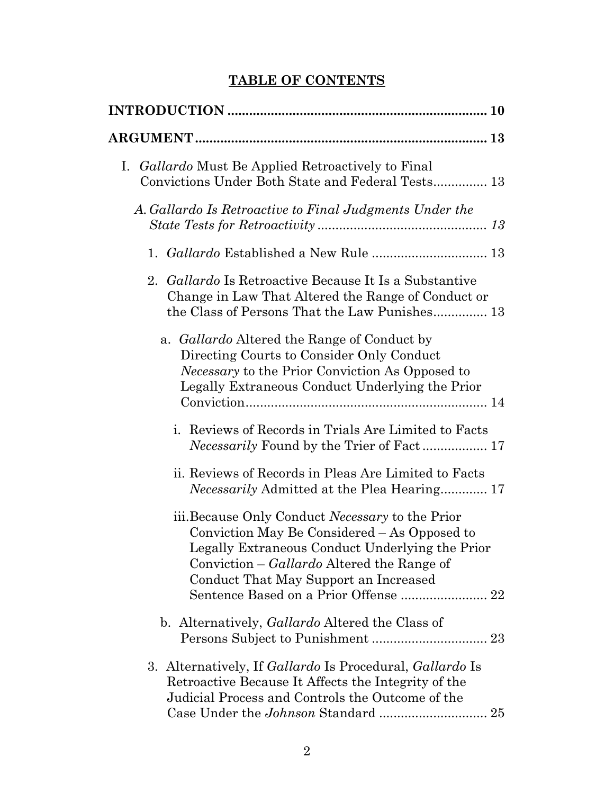# **TABLE OF CONTENTS**

| Gallardo Must Be Applied Retroactively to Final<br>Ι.<br>Convictions Under Both State and Federal Tests 13                                                                                                                                 |
|--------------------------------------------------------------------------------------------------------------------------------------------------------------------------------------------------------------------------------------------|
| A. Gallardo Is Retroactive to Final Judgments Under the                                                                                                                                                                                    |
| 1. Gallardo Established a New Rule  13                                                                                                                                                                                                     |
| 2. Gallardo Is Retroactive Because It Is a Substantive<br>Change in Law That Altered the Range of Conduct or<br>the Class of Persons That the Law Punishes 13                                                                              |
| a. <i>Gallardo</i> Altered the Range of Conduct by<br>Directing Courts to Consider Only Conduct<br><i>Necessary</i> to the Prior Conviction As Opposed to<br>Legally Extraneous Conduct Underlying the Prior                               |
| i. Reviews of Records in Trials Are Limited to Facts                                                                                                                                                                                       |
| ii. Reviews of Records in Pleas Are Limited to Facts<br>Necessarily Admitted at the Plea Hearing 17                                                                                                                                        |
| iii. Because Only Conduct Necessary to the Prior<br>Conviction May Be Considered – As Opposed to<br>Legally Extraneous Conduct Underlying the Prior<br>Conviction – Gallardo Altered the Range of<br>Conduct That May Support an Increased |
| b. Alternatively, <i>Gallardo</i> Altered the Class of                                                                                                                                                                                     |
| 3. Alternatively, If Gallardo Is Procedural, Gallardo Is<br>Retroactive Because It Affects the Integrity of the<br>Judicial Process and Controls the Outcome of the                                                                        |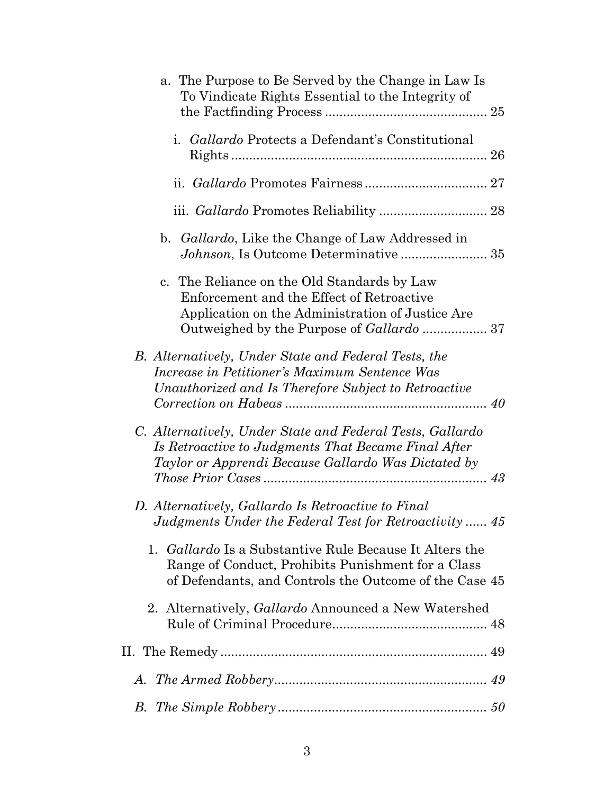| a. The Purpose to Be Served by the Change in Law Is<br>To Vindicate Rights Essential to the Integrity of                                                                          |
|-----------------------------------------------------------------------------------------------------------------------------------------------------------------------------------|
| i. Gallardo Protects a Defendant's Constitutional                                                                                                                                 |
|                                                                                                                                                                                   |
|                                                                                                                                                                                   |
| <i>Gallardo</i> , Like the Change of Law Addressed in<br>b.                                                                                                                       |
| c. The Reliance on the Old Standards by Law<br>Enforcement and the Effect of Retroactive<br>Application on the Administration of Justice Are                                      |
| <b>B.</b> Alternatively, Under State and Federal Tests, the<br>Increase in Petitioner's Maximum Sentence Was<br>Unauthorized and Is Therefore Subject to Retroactive              |
| C. Alternatively, Under State and Federal Tests, Gallardo<br>Is Retroactive to Judgments That Became Final After<br>Taylor or Apprendi Because Gallardo Was Dictated by           |
| D. Alternatively, Gallardo Is Retroactive to Final<br>Judgments Under the Federal Test for Retroactivity  45                                                                      |
| <i>Gallardo</i> Is a Substantive Rule Because It Alters the<br>1.<br>Range of Conduct, Prohibits Punishment for a Class<br>of Defendants, and Controls the Outcome of the Case 45 |
| 2. Alternatively, <i>Gallardo</i> Announced a New Watershed                                                                                                                       |
|                                                                                                                                                                                   |
| А.                                                                                                                                                                                |
| В.                                                                                                                                                                                |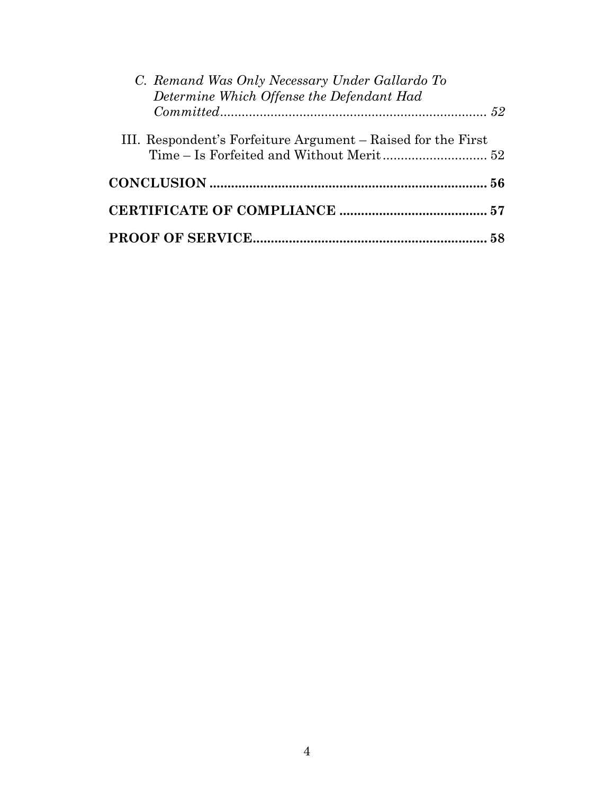| C. Remand Was Only Necessary Under Gallardo To<br>Determine Which Offense the Defendant Had |  |
|---------------------------------------------------------------------------------------------|--|
| III. Respondent's Forfeiture Argument – Raised for the First                                |  |
|                                                                                             |  |
|                                                                                             |  |
|                                                                                             |  |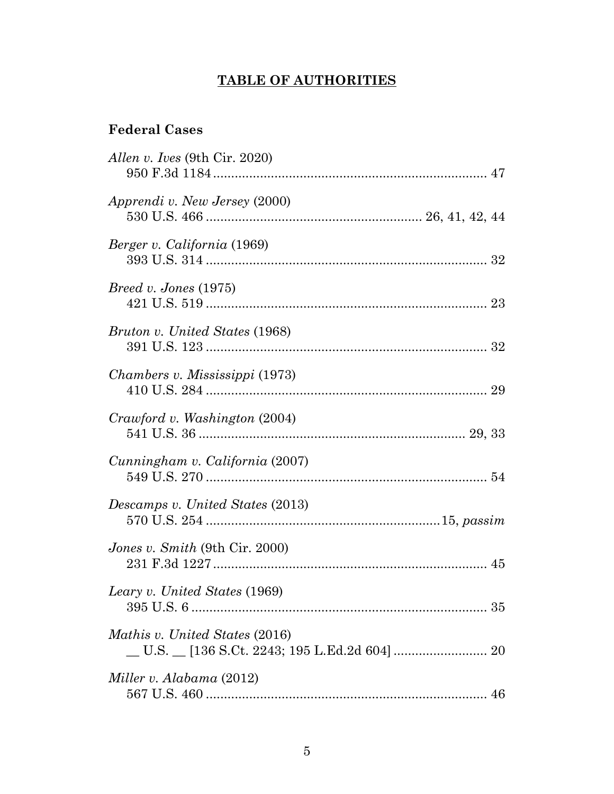# **TABLE OF AUTHORITIES**

## **Federal Cases**

| Allen v. Ives (9th Cir. 2020)         |
|---------------------------------------|
| Apprendi v. New Jersey (2000)         |
| Berger v. California (1969)           |
| <i>Breed v. Jones</i> (1975)          |
| Bruton v. United States (1968)        |
| Chambers v. Mississippi (1973)        |
| Crawford v. Washington (2004)         |
| Cunningham v. California (2007)       |
| Descamps v. United States (2013)      |
| <i>Jones v. Smith</i> (9th Cir. 2000) |
| Leary v. United States (1969)         |
| Mathis v. United States (2016)        |
| Miller v. Alabama (2012)              |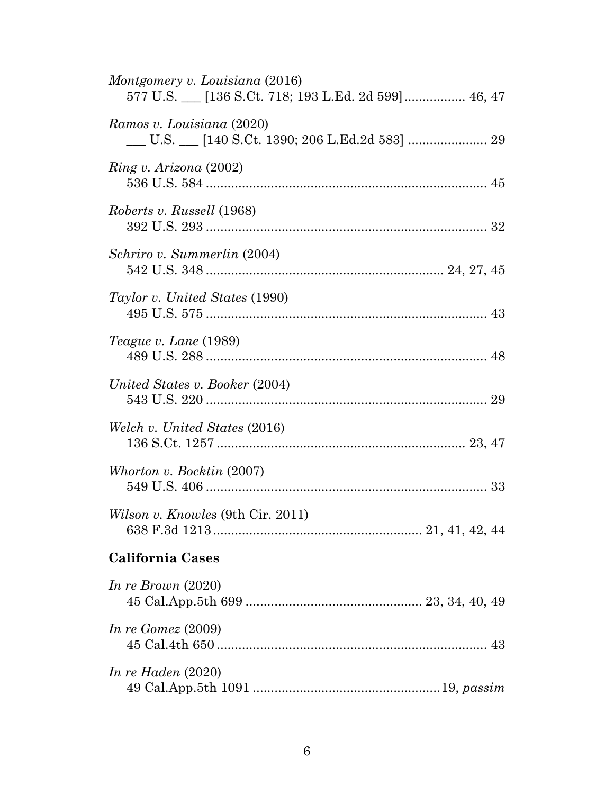| Montgomery v. Louisiana (2016)                                                |
|-------------------------------------------------------------------------------|
| Ramos v. Louisiana (2020)<br>__ U.S. __ [140 S.Ct. 1390; 206 L.Ed.2d 583]  29 |
| $Ring\ v. Arizona\ (2002)$                                                    |
| Roberts v. Russell (1968)                                                     |
| Schriro v. Summerlin (2004)                                                   |
| <i>Taylor v. United States</i> (1990)                                         |
| Teague v. Lane (1989)                                                         |
| United States v. Booker (2004)                                                |
| Welch v. United States (2016)                                                 |
| Whorton v. Bocktin (2007)                                                     |
| <i>Wilson v. Knowles</i> (9th Cir. 2011)                                      |
| <b>California Cases</b>                                                       |
| In re Brown $(2020)$                                                          |
| In re Gomez $(2009)$                                                          |
| In re Haden $(2020)$                                                          |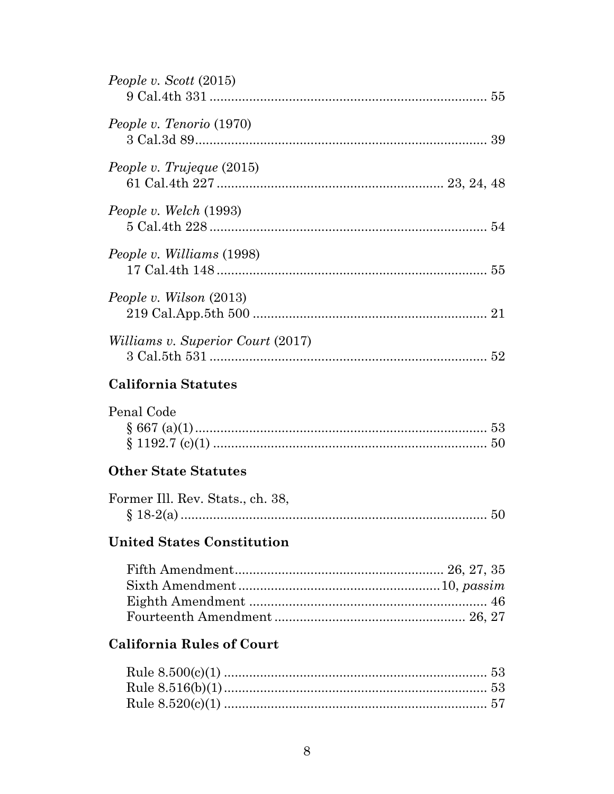| People v. Scott (2015)                   |
|------------------------------------------|
| People v. Tenorio (1970)                 |
| People v. Trujeque (2015)                |
| People v. Welch (1993)                   |
| People v. Williams (1998)                |
| People v. Wilson (2013)                  |
| <i>Williams v. Superior Court (2017)</i> |
| California Statutes                      |
| Penal Code                               |
| <b>Other State Statutes</b>              |
| Former Ill. Rev. Stats., ch. 38,         |
| <b>United States Constitution</b>        |
|                                          |
| <b>California Rules of Court</b>         |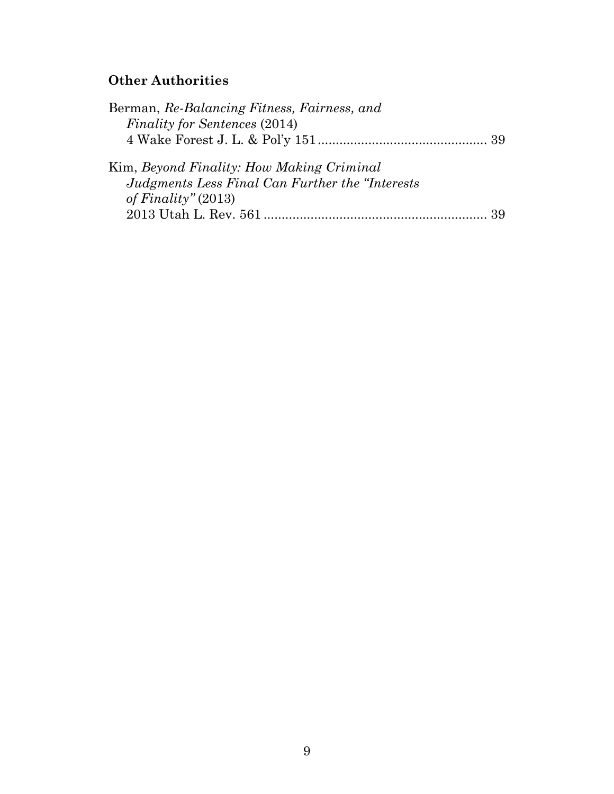# **Other Authorities**

| Berman, Re-Balancing Fitness, Fairness, and      |  |
|--------------------------------------------------|--|
| <i>Finality for Sentences (2014)</i>             |  |
|                                                  |  |
| Kim, Beyond Finality: How Making Criminal        |  |
| Judgments Less Final Can Further the "Interests" |  |
| of Finality" $(2013)$                            |  |
|                                                  |  |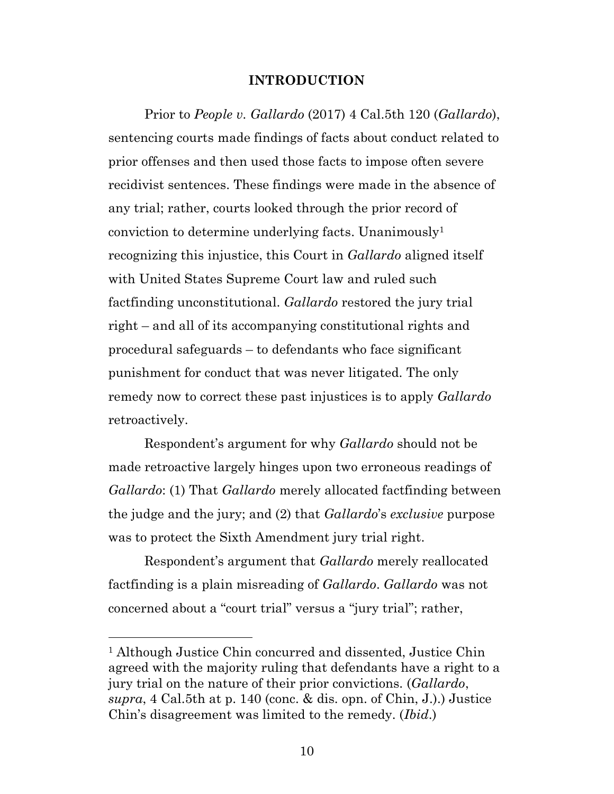#### <span id="page-9-0"></span>**INTRODUCTION**

Prior to *People v. Gallardo* (2017) 4 Cal.5th 120 (*Gallardo*), sentencing courts made findings of facts about conduct related to prior offenses and then used those facts to impose often severe recidivist sentences. These findings were made in the absence of any trial; rather, courts looked through the prior record of conviction to determine underlying facts. Unanimously<sup>1</sup> recognizing this injustice, this Court in *Gallardo* aligned itself with United States Supreme Court law and ruled such factfinding unconstitutional. *Gallardo* restored the jury trial right – and all of its accompanying constitutional rights and procedural safeguards – to defendants who face significant punishment for conduct that was never litigated. The only remedy now to correct these past injustices is to apply *Gallardo*  retroactively.

Respondent's argument for why *Gallardo* should not be made retroactive largely hinges upon two erroneous readings of *Gallardo*: (1) That *Gallardo* merely allocated factfinding between the judge and the jury; and (2) that *Gallardo*'s *exclusive* purpose was to protect the Sixth Amendment jury trial right.

<span id="page-9-1"></span>Respondent's argument that *Gallardo* merely reallocated factfinding is a plain misreading of *Gallardo*. *Gallardo* was not concerned about a "court trial" versus a "jury trial"; rather,

<sup>&</sup>lt;sup>1</sup> Although Justice Chin concurred and dissented, Justice Chin agreed with the majority ruling that defendants have a right to a jury trial on the nature of their prior convictions. (*Gallardo*, *supra*, 4 Cal.5th at p. 140 (conc. & dis. opn. of Chin, J.).) Justice Chin's disagreement was limited to the remedy. (*Ibid*.)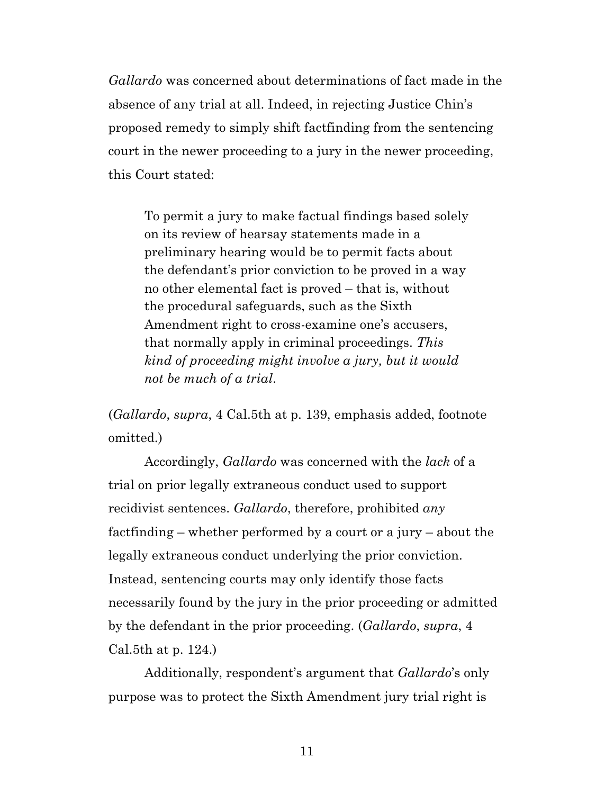*Gallardo* was concerned about determinations of fact made in the absence of any trial at all. Indeed, in rejecting Justice Chin's proposed remedy to simply shift factfinding from the sentencing court in the newer proceeding to a jury in the newer proceeding, this Court stated:

<span id="page-10-1"></span>To permit a jury to make factual findings based solely on its review of hearsay statements made in a preliminary hearing would be to permit facts about the defendant's prior conviction to be proved in a way no other elemental fact is proved – that is, without the procedural safeguards, such as the Sixth Amendment right to cross-examine one's accusers, that normally apply in criminal proceedings. *This kind of proceeding might involve a jury, but it would not be much of a trial*.

<span id="page-10-0"></span>(*Gallardo*, *supra*, 4 Cal.5th at p. 139, emphasis added, footnote omitted.)

Accordingly, *Gallardo* was concerned with the *lack* of a trial on prior legally extraneous conduct used to support recidivist sentences. *Gallardo*, therefore, prohibited *any* factfinding – whether performed by a court or a jury – about the legally extraneous conduct underlying the prior conviction. Instead, sentencing courts may only identify those facts necessarily found by the jury in the prior proceeding or admitted by the defendant in the prior proceeding. (*Gallardo*, *supra*, 4 Cal.5th at p. 124.)

Additionally, respondent's argument that *Gallardo*'s only purpose was to protect the Sixth Amendment jury trial right is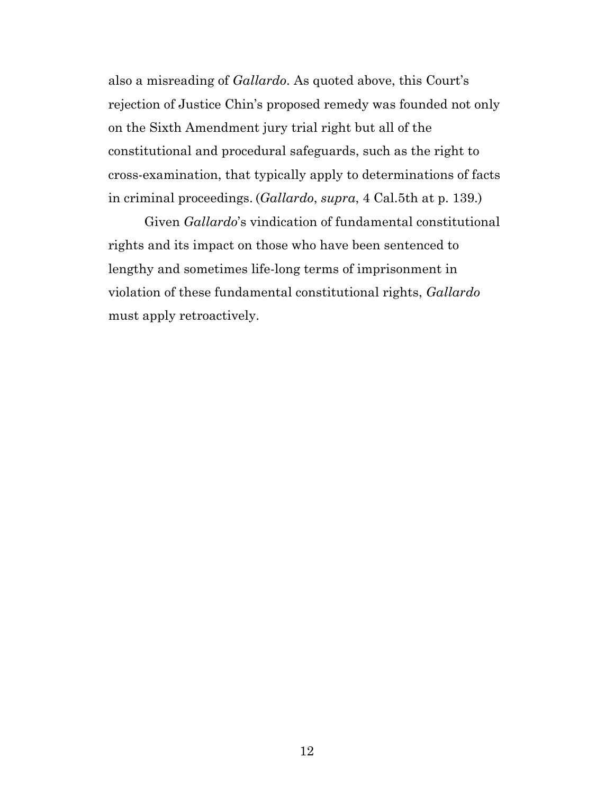also a misreading of *Gallardo*. As quoted above, this Court's rejection of Justice Chin's proposed remedy was founded not only on the Sixth Amendment jury trial right but all of the constitutional and procedural safeguards, such as the right to cross-examination, that typically apply to determinations of facts in criminal proceedings. (*Gallardo*, *supra*, 4 Cal.5th at p. 139.)

Given *Gallardo*'s vindication of fundamental constitutional rights and its impact on those who have been sentenced to lengthy and sometimes life-long terms of imprisonment in violation of these fundamental constitutional rights, *Gallardo*  must apply retroactively.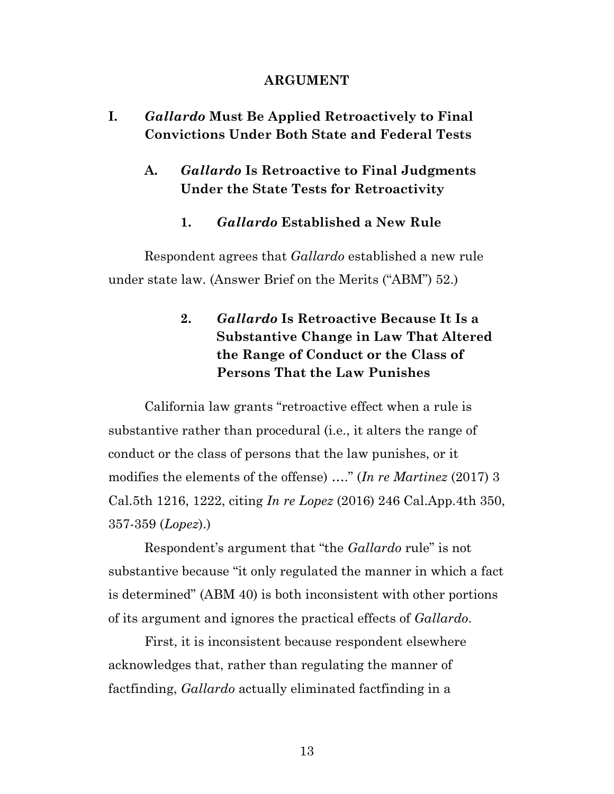#### **ARGUMENT**

## **I.** *Gallardo* **Must Be Applied Retroactively to Final Convictions Under Both State and Federal Tests**

## **A.** *Gallardo* **Is Retroactive to Final Judgments Under the State Tests for Retroactivity**

#### **1.** *Gallardo* **Established a New Rule**

Respondent agrees that *Gallardo* established a new rule under state law. (Answer Brief on the Merits ("ABM") 52.)

## <span id="page-12-1"></span>**2.** *Gallardo* **Is Retroactive Because It Is a Substantive Change in Law That Altered the Range of Conduct or the Class of Persons That the Law Punishes**

California law grants "retroactive effect when a rule is substantive rather than procedural (i.e., it alters the range of conduct or the class of persons that the law punishes, or it modifies the elements of the offense) …." (*In re Martinez* (2017) 3 Cal.5th 1216, 1222, citing *In re Lopez* (2016) 246 Cal.App.4th 350, 357-359 (*Lopez*).)

<span id="page-12-0"></span>Respondent's argument that "the *Gallardo* rule" is not substantive because "it only regulated the manner in which a fact is determined" (ABM 40) is both inconsistent with other portions of its argument and ignores the practical effects of *Gallardo*.

First, it is inconsistent because respondent elsewhere acknowledges that, rather than regulating the manner of factfinding, *Gallardo* actually eliminated factfinding in a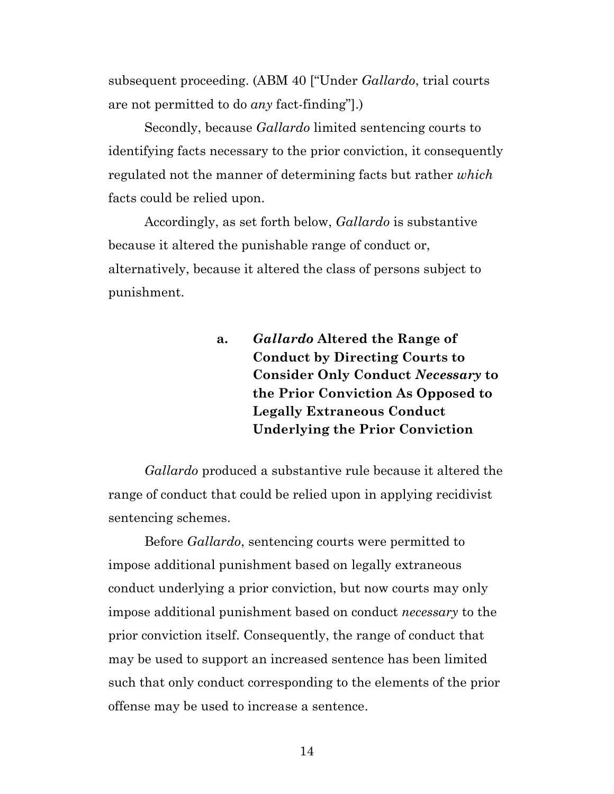subsequent proceeding. (ABM 40 ["Under *Gallardo*, trial courts are not permitted to do *any* fact-finding"].)

Secondly, because *Gallardo* limited sentencing courts to identifying facts necessary to the prior conviction, it consequently regulated not the manner of determining facts but rather *which*  facts could be relied upon.

Accordingly, as set forth below, *Gallardo* is substantive because it altered the punishable range of conduct or, alternatively, because it altered the class of persons subject to punishment.

> **a.** *Gallardo* **Altered the Range of Conduct by Directing Courts to Consider Only Conduct** *Necessary* **to the Prior Conviction As Opposed to Legally Extraneous Conduct Underlying the Prior Conviction**

*Gallardo* produced a substantive rule because it altered the range of conduct that could be relied upon in applying recidivist sentencing schemes.

Before *Gallardo*, sentencing courts were permitted to impose additional punishment based on legally extraneous conduct underlying a prior conviction, but now courts may only impose additional punishment based on conduct *necessary* to the prior conviction itself. Consequently, the range of conduct that may be used to support an increased sentence has been limited such that only conduct corresponding to the elements of the prior offense may be used to increase a sentence.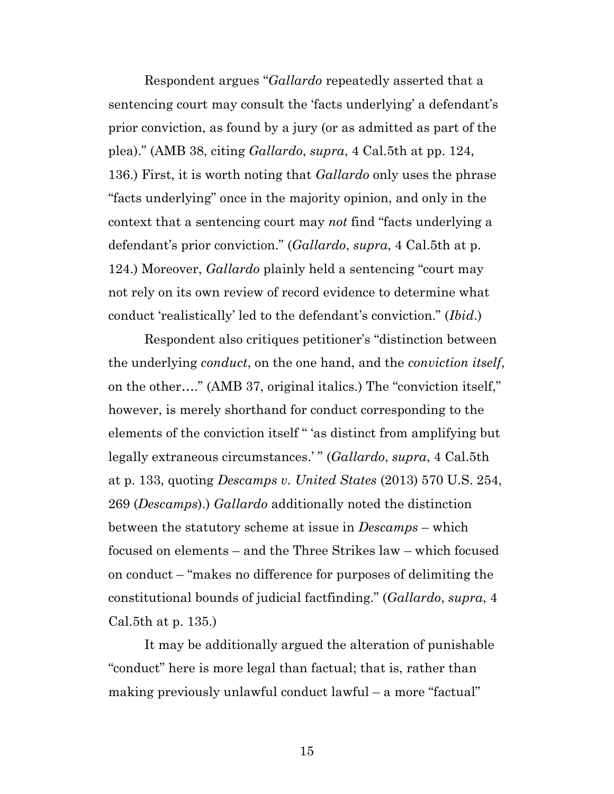Respondent argues "*Gallardo* repeatedly asserted that a sentencing court may consult the 'facts underlying' a defendant's prior conviction, as found by a jury (or as admitted as part of the plea)." (AMB 38, citing *Gallardo*, *supra*, 4 Cal.5th at pp. 124, 136.) First, it is worth noting that *Gallardo* only uses the phrase "facts underlying" once in the majority opinion, and only in the context that a sentencing court may *not* find "facts underlying a defendant's prior conviction." (*Gallardo*, *supra*, 4 Cal.5th at p. 124.) Moreover, *Gallardo* plainly held a sentencing "court may not rely on its own review of record evidence to determine what conduct 'realistically' led to the defendant's conviction." (*Ibid*.)

<span id="page-14-0"></span>Respondent also critiques petitioner's "distinction between the underlying *conduct*, on the one hand, and the *conviction itself*, on the other…." (AMB 37, original italics.) The "conviction itself," however, is merely shorthand for conduct corresponding to the elements of the conviction itself " 'as distinct from amplifying but legally extraneous circumstances.' " (*Gallardo*, *supra*, 4 Cal.5th at p. 133, quoting *Descamps v. United States* (2013) 570 U.S. 254, 269 (*Descamps*).) *Gallardo* additionally noted the distinction between the statutory scheme at issue in *Descamps* – which focused on elements – and the Three Strikes law – which focused on conduct – "makes no difference for purposes of delimiting the constitutional bounds of judicial factfinding." (*Gallardo*, *supra*, 4 Cal.5th at p. 135.)

It may be additionally argued the alteration of punishable "conduct" here is more legal than factual; that is, rather than making previously unlawful conduct lawful – a more "factual"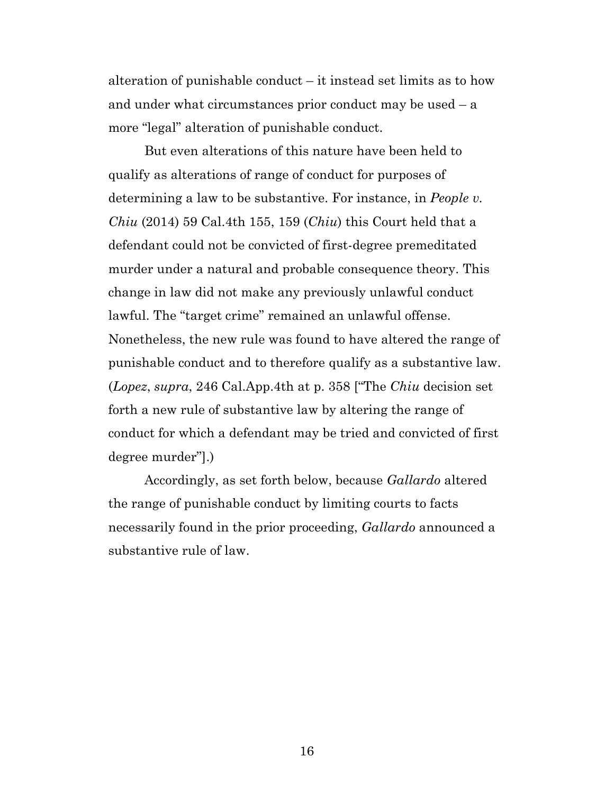alteration of punishable conduct – it instead set limits as to how and under what circumstances prior conduct may be used – a more "legal" alteration of punishable conduct.

<span id="page-15-1"></span>But even alterations of this nature have been held to qualify as alterations of range of conduct for purposes of determining a law to be substantive. For instance, in *People v. Chiu* (2014) 59 Cal.4th 155, 159 (*Chiu*) this Court held that a defendant could not be convicted of first-degree premeditated murder under a natural and probable consequence theory. This change in law did not make any previously unlawful conduct lawful. The "target crime" remained an unlawful offense. Nonetheless, the new rule was found to have altered the range of punishable conduct and to therefore qualify as a substantive law. (*Lopez*, *supra*, 246 Cal.App.4th at p. 358 ["The *Chiu* decision set forth a new rule of substantive law by altering the range of conduct for which a defendant may be tried and convicted of first degree murder"].)

<span id="page-15-0"></span>Accordingly, as set forth below, because *Gallardo* altered the range of punishable conduct by limiting courts to facts necessarily found in the prior proceeding, *Gallardo* announced a substantive rule of law.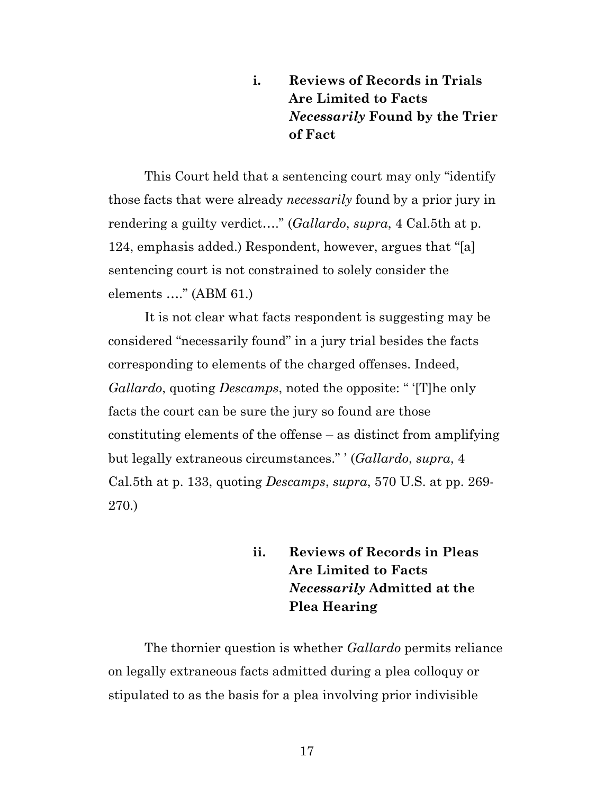## **i. Reviews of Records in Trials Are Limited to Facts**  *Necessarily* **Found by the Trier of Fact**

This Court held that a sentencing court may only "identify those facts that were already *necessarily* found by a prior jury in rendering a guilty verdict…." (*Gallardo*, *supra*, 4 Cal.5th at p. 124, emphasis added.) Respondent, however, argues that "[a] sentencing court is not constrained to solely consider the elements …." (ABM 61.)

It is not clear what facts respondent is suggesting may be considered "necessarily found" in a jury trial besides the facts corresponding to elements of the charged offenses. Indeed, *Gallardo*, quoting *Descamps*, noted the opposite: " '[T]he only facts the court can be sure the jury so found are those constituting elements of the offense – as distinct from amplifying but legally extraneous circumstances." ' (*Gallardo*, *supra*, 4 Cal.5th at p. 133, quoting *Descamps*, *supra*, 570 U.S. at pp. 269- 270.)

> <span id="page-16-0"></span>**ii. Reviews of Records in Pleas Are Limited to Facts**  *Necessarily* **Admitted at the Plea Hearing**

The thornier question is whether *Gallardo* permits reliance on legally extraneous facts admitted during a plea colloquy or stipulated to as the basis for a plea involving prior indivisible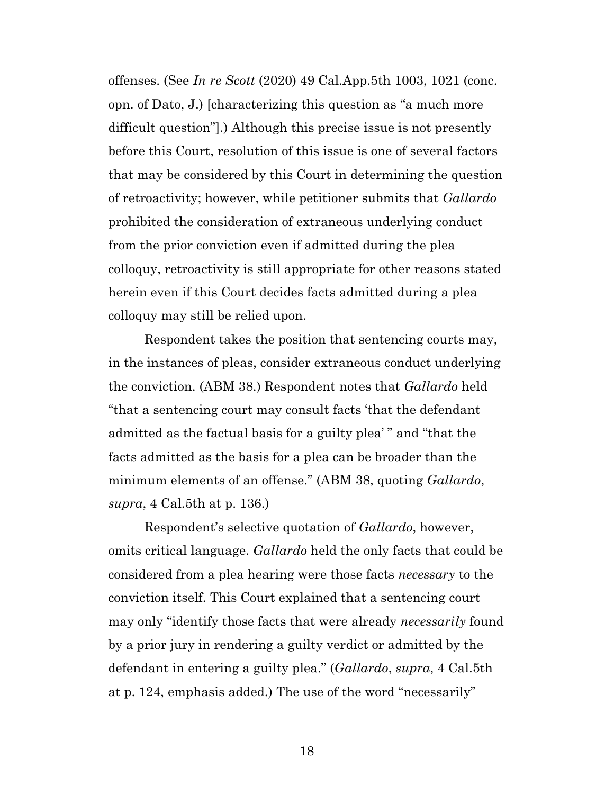<span id="page-17-0"></span>offenses. (See *In re Scott* (2020) 49 Cal.App.5th 1003, 1021 (conc. opn. of Dato, J.) [characterizing this question as "a much more difficult question"].) Although this precise issue is not presently before this Court, resolution of this issue is one of several factors that may be considered by this Court in determining the question of retroactivity; however, while petitioner submits that *Gallardo*  prohibited the consideration of extraneous underlying conduct from the prior conviction even if admitted during the plea colloquy, retroactivity is still appropriate for other reasons stated herein even if this Court decides facts admitted during a plea colloquy may still be relied upon.

Respondent takes the position that sentencing courts may, in the instances of pleas, consider extraneous conduct underlying the conviction. (ABM 38.) Respondent notes that *Gallardo* held "that a sentencing court may consult facts 'that the defendant admitted as the factual basis for a guilty plea' " and "that the facts admitted as the basis for a plea can be broader than the minimum elements of an offense." (ABM 38, quoting *Gallardo*, *supra*, 4 Cal.5th at p. 136.)

Respondent's selective quotation of *Gallardo*, however, omits critical language. *Gallardo* held the only facts that could be considered from a plea hearing were those facts *necessary* to the conviction itself. This Court explained that a sentencing court may only "identify those facts that were already *necessarily* found by a prior jury in rendering a guilty verdict or admitted by the defendant in entering a guilty plea." (*Gallardo*, *supra*, 4 Cal.5th at p. 124, emphasis added.) The use of the word "necessarily"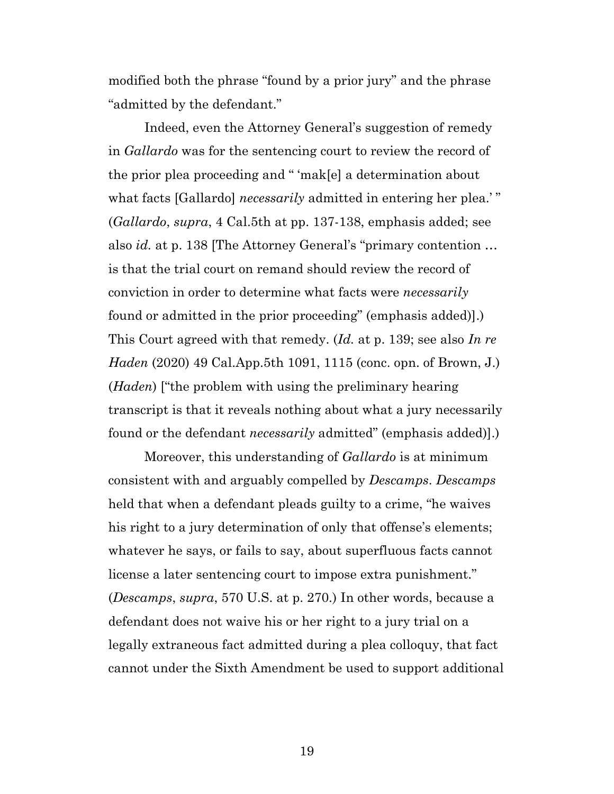modified both the phrase "found by a prior jury" and the phrase "admitted by the defendant."

Indeed, even the Attorney General's suggestion of remedy in *Gallardo* was for the sentencing court to review the record of the prior plea proceeding and " 'mak[e] a determination about what facts [Gallardo] *necessarily* admitted in entering her plea.'" (*Gallardo*, *supra*, 4 Cal.5th at pp. 137-138, emphasis added; see also *id.* at p. 138 [The Attorney General's "primary contention … is that the trial court on remand should review the record of conviction in order to determine what facts were *necessarily*  found or admitted in the prior proceeding" (emphasis added)].) This Court agreed with that remedy. (*Id.* at p. 139; see also *In re Haden* (2020) 49 Cal.App.5th 1091, 1115 (conc. opn. of Brown, J.) (*Haden*) ["the problem with using the preliminary hearing transcript is that it reveals nothing about what a jury necessarily found or the defendant *necessarily* admitted" (emphasis added)].)

<span id="page-18-0"></span>Moreover, this understanding of *Gallardo* is at minimum consistent with and arguably compelled by *Descamps*. *Descamps*  held that when a defendant pleads guilty to a crime, "he waives his right to a jury determination of only that offense's elements; whatever he says, or fails to say, about superfluous facts cannot license a later sentencing court to impose extra punishment." (*Descamps*, *supra*, 570 U.S. at p. 270.) In other words, because a defendant does not waive his or her right to a jury trial on a legally extraneous fact admitted during a plea colloquy, that fact cannot under the Sixth Amendment be used to support additional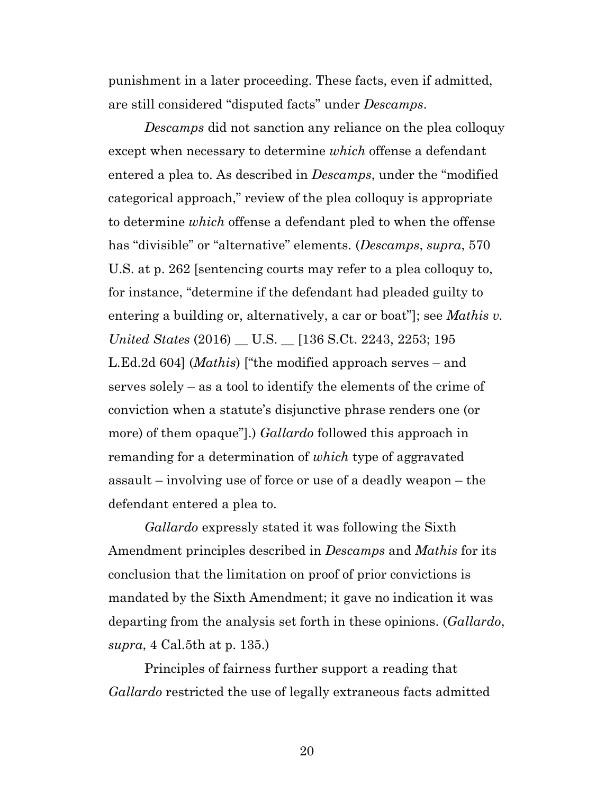punishment in a later proceeding. These facts, even if admitted, are still considered "disputed facts" under *Descamps*.

<span id="page-19-0"></span>*Descamps* did not sanction any reliance on the plea colloquy except when necessary to determine *which* offense a defendant entered a plea to. As described in *Descamps*, under the "modified categorical approach," review of the plea colloquy is appropriate to determine *which* offense a defendant pled to when the offense has "divisible" or "alternative" elements. (*Descamps*, *supra*, 570 U.S. at p. 262 [sentencing courts may refer to a plea colloquy to, for instance, "determine if the defendant had pleaded guilty to entering a building or, alternatively, a car or boat"]; see *Mathis v. United States* (2016) \_\_ U.S. \_\_ [136 S.Ct. 2243, 2253; 195 L.Ed.2d 604] (*Mathis*) ["the modified approach serves – and serves solely – as a tool to identify the elements of the crime of conviction when a statute's disjunctive phrase renders one (or more) of them opaque"].) *Gallardo* followed this approach in remanding for a determination of *which* type of aggravated assault – involving use of force or use of a deadly weapon – the defendant entered a plea to.

*Gallardo* expressly stated it was following the Sixth Amendment principles described in *Descamps* and *Mathis* for its conclusion that the limitation on proof of prior convictions is mandated by the Sixth Amendment; it gave no indication it was departing from the analysis set forth in these opinions. (*Gallardo*, *supra*, 4 Cal.5th at p. 135.)

Principles of fairness further support a reading that *Gallardo* restricted the use of legally extraneous facts admitted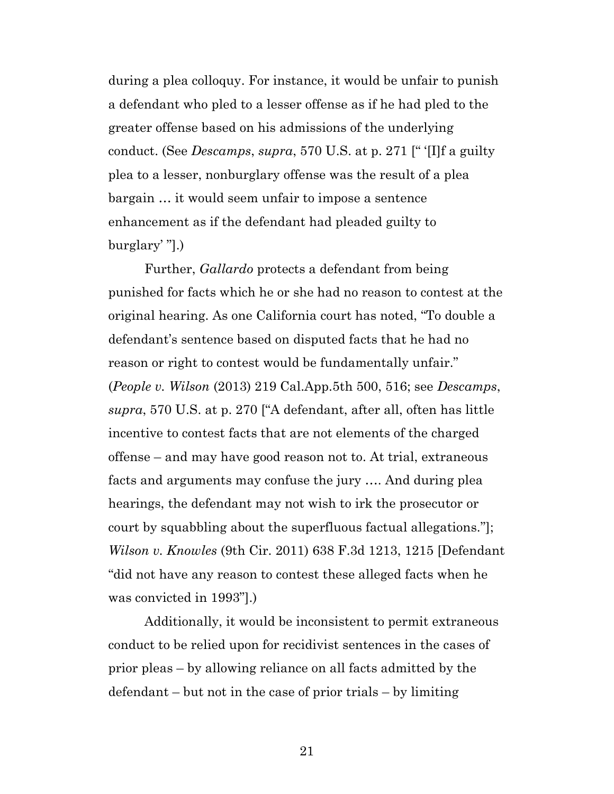during a plea colloquy. For instance, it would be unfair to punish a defendant who pled to a lesser offense as if he had pled to the greater offense based on his admissions of the underlying conduct. (See *Descamps*, *supra*, 570 U.S. at p. 271 [" '[I]f a guilty plea to a lesser, nonburglary offense was the result of a plea bargain … it would seem unfair to impose a sentence enhancement as if the defendant had pleaded guilty to burglary' "].)

<span id="page-20-1"></span>Further, *Gallardo* protects a defendant from being punished for facts which he or she had no reason to contest at the original hearing. As one California court has noted, "To double a defendant's sentence based on disputed facts that he had no reason or right to contest would be fundamentally unfair." (*People v. Wilson* (2013) 219 Cal.App.5th 500, 516; see *Descamps*, *supra*, 570 U.S. at p. 270 ["A defendant, after all, often has little incentive to contest facts that are not elements of the charged offense – and may have good reason not to. At trial, extraneous facts and arguments may confuse the jury …. And during plea hearings, the defendant may not wish to irk the prosecutor or court by squabbling about the superfluous factual allegations."]; *Wilson v. Knowles* (9th Cir. 2011) 638 F.3d 1213, 1215 [Defendant "did not have any reason to contest these alleged facts when he was convicted in 1993"].)

<span id="page-20-0"></span>Additionally, it would be inconsistent to permit extraneous conduct to be relied upon for recidivist sentences in the cases of prior pleas – by allowing reliance on all facts admitted by the defendant – but not in the case of prior trials – by limiting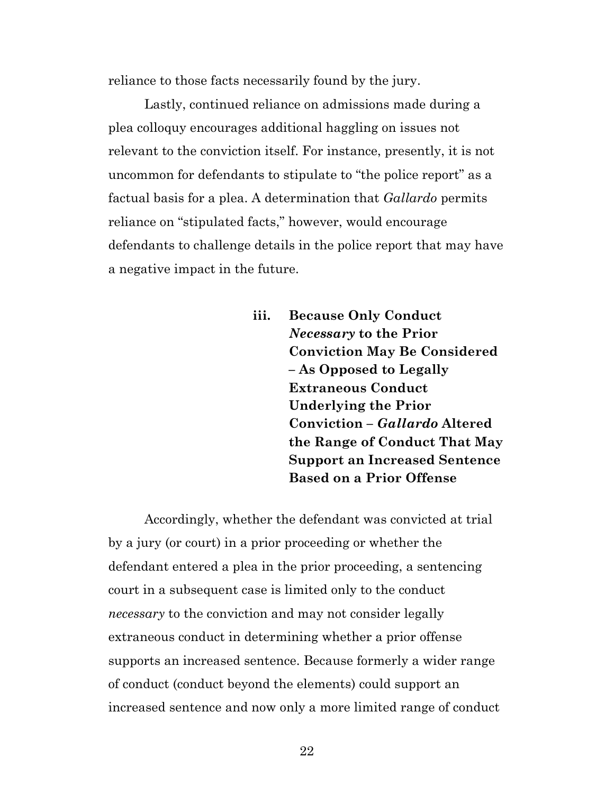reliance to those facts necessarily found by the jury.

Lastly, continued reliance on admissions made during a plea colloquy encourages additional haggling on issues not relevant to the conviction itself. For instance, presently, it is not uncommon for defendants to stipulate to "the police report" as a factual basis for a plea. A determination that *Gallardo* permits reliance on "stipulated facts," however, would encourage defendants to challenge details in the police report that may have a negative impact in the future.

> **iii. Because Only Conduct**  *Necessary* **to the Prior Conviction May Be Considered – As Opposed to Legally Extraneous Conduct Underlying the Prior Conviction –** *Gallardo* **Altered the Range of Conduct That May Support an Increased Sentence Based on a Prior Offense**

Accordingly, whether the defendant was convicted at trial by a jury (or court) in a prior proceeding or whether the defendant entered a plea in the prior proceeding, a sentencing court in a subsequent case is limited only to the conduct *necessary* to the conviction and may not consider legally extraneous conduct in determining whether a prior offense supports an increased sentence. Because formerly a wider range of conduct (conduct beyond the elements) could support an increased sentence and now only a more limited range of conduct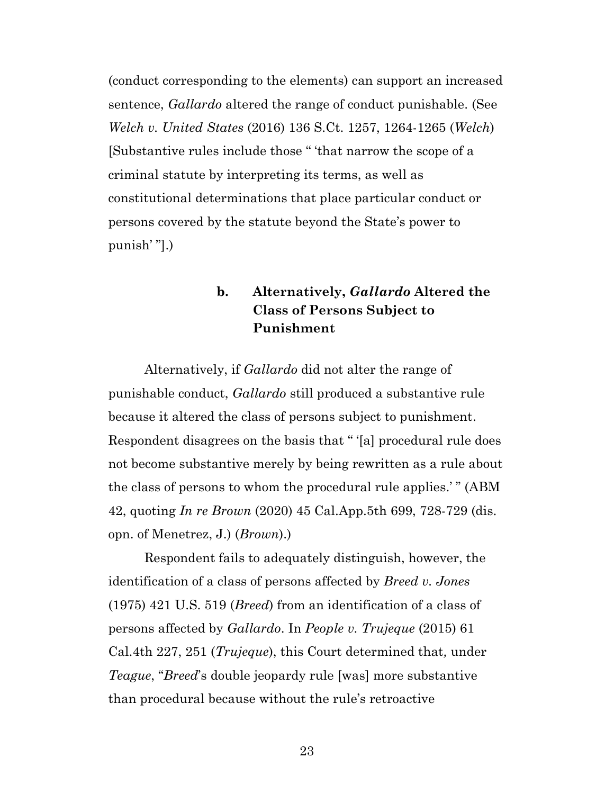<span id="page-22-1"></span>(conduct corresponding to the elements) can support an increased sentence, *Gallardo* altered the range of conduct punishable. (See *Welch v. United States* (2016) 136 S.Ct. 1257, 1264-1265 (*Welch*) [Substantive rules include those " 'that narrow the scope of a criminal statute by interpreting its terms, as well as constitutional determinations that place particular conduct or persons covered by the statute beyond the State's power to punish' "].)

## **b. Alternatively,** *Gallardo* **Altered the Class of Persons Subject to Punishment**

Alternatively, if *Gallardo* did not alter the range of punishable conduct, *Gallardo* still produced a substantive rule because it altered the class of persons subject to punishment. Respondent disagrees on the basis that " '[a] procedural rule does not become substantive merely by being rewritten as a rule about the class of persons to whom the procedural rule applies.' " (ABM 42, quoting *In re Brown* (2020) 45 Cal.App.5th 699, 728-729 (dis. opn. of Menetrez, J.) (*Brown*).)

<span id="page-22-3"></span><span id="page-22-2"></span><span id="page-22-0"></span>Respondent fails to adequately distinguish, however, the identification of a class of persons affected by *Breed v. Jones*  (1975) 421 U.S. 519 (*Breed*) from an identification of a class of persons affected by *Gallardo*. In *People v. Trujeque* (2015) 61 Cal.4th 227, 251 (*Trujeque*), this Court determined that*,* under *Teague*, "*Breed*'s double jeopardy rule [was] more substantive than procedural because without the rule's retroactive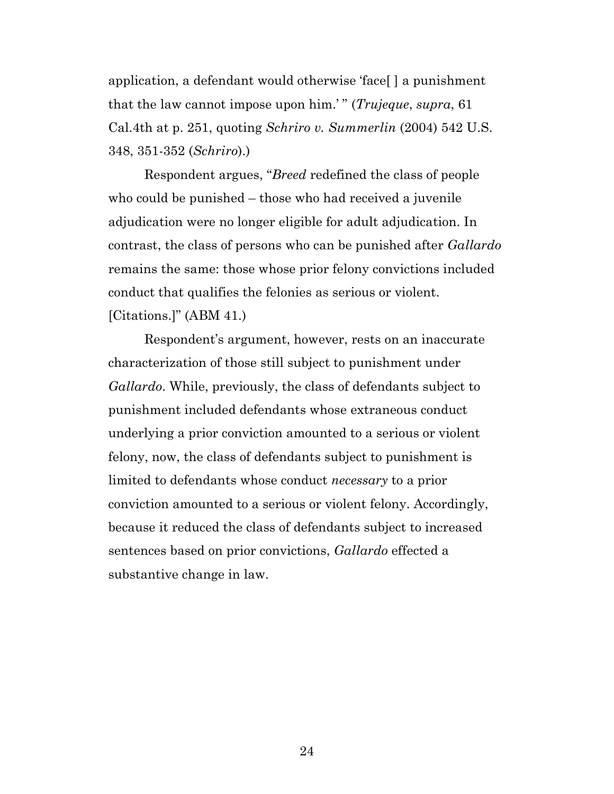<span id="page-23-1"></span><span id="page-23-0"></span>application, a defendant would otherwise 'face[ ] a punishment that the law cannot impose upon him.' " (*Trujeque*, *supra*, 61 Cal.4th at p. 251, quoting *Schriro v. Summerlin* (2004) 542 U.S. 348, 351-352 (*Schriro*).)

Respondent argues, "*Breed* redefined the class of people who could be punished – those who had received a juvenile adjudication were no longer eligible for adult adjudication. In contrast, the class of persons who can be punished after *Gallardo*  remains the same: those whose prior felony convictions included conduct that qualifies the felonies as serious or violent. [Citations.]" (ABM 41.)

Respondent's argument, however, rests on an inaccurate characterization of those still subject to punishment under *Gallardo*. While, previously, the class of defendants subject to punishment included defendants whose extraneous conduct underlying a prior conviction amounted to a serious or violent felony, now, the class of defendants subject to punishment is limited to defendants whose conduct *necessary* to a prior conviction amounted to a serious or violent felony. Accordingly, because it reduced the class of defendants subject to increased sentences based on prior convictions, *Gallardo* effected a substantive change in law.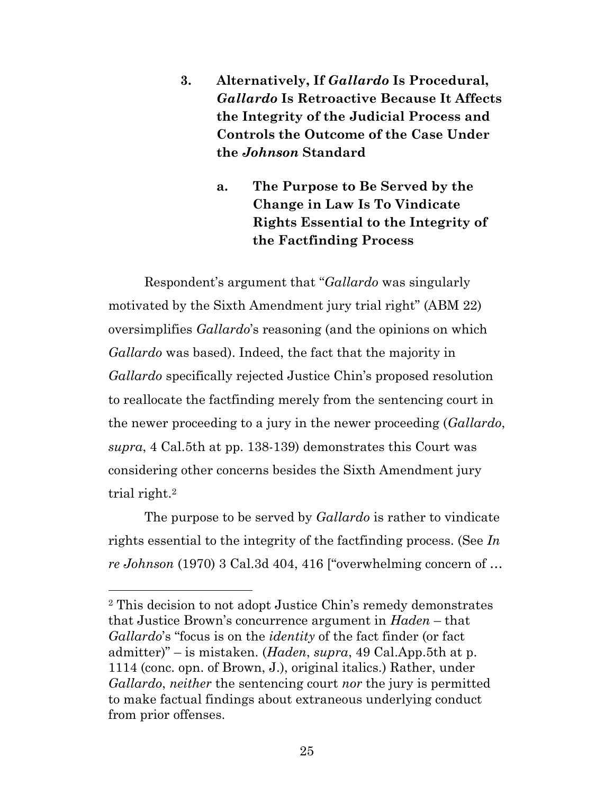- **3. Alternatively, If** *Gallardo* **Is Procedural,** *Gallardo* **Is Retroactive Because It Affects the Integrity of the Judicial Process and Controls the Outcome of the Case Under the** *Johnson* **Standard**
	- **a. The Purpose to Be Served by the Change in Law Is To Vindicate Rights Essential to the Integrity of the Factfinding Process**

Respondent's argument that "*Gallardo* was singularly motivated by the Sixth Amendment jury trial right" (ABM 22) oversimplifies *Gallardo*'s reasoning (and the opinions on which *Gallardo* was based). Indeed, the fact that the majority in *Gallardo* specifically rejected Justice Chin's proposed resolution to reallocate the factfinding merely from the sentencing court in the newer proceeding to a jury in the newer proceeding (*Gallardo*, *supra*, 4 Cal.5th at pp. 138-139) demonstrates this Court was considering other concerns besides the Sixth Amendment jury trial right.<sup>2</sup>

<span id="page-24-1"></span>The purpose to be served by *Gallardo* is rather to vindicate rights essential to the integrity of the factfinding process. (See *In re Johnson* (1970) 3 Cal.3d 404, 416 ["overwhelming concern of …

<span id="page-24-0"></span>

<sup>2</sup> This decision to not adopt Justice Chin's remedy demonstrates that Justice Brown's concurrence argument in *Haden* – that *Gallardo*'s "focus is on the *identity* of the fact finder (or fact admitter)" – is mistaken. (*Haden*, *supra*, 49 Cal.App.5th at p. 1114 (conc. opn. of Brown, J.), original italics.) Rather, under *Gallardo*, *neither* the sentencing court *nor* the jury is permitted to make factual findings about extraneous underlying conduct from prior offenses.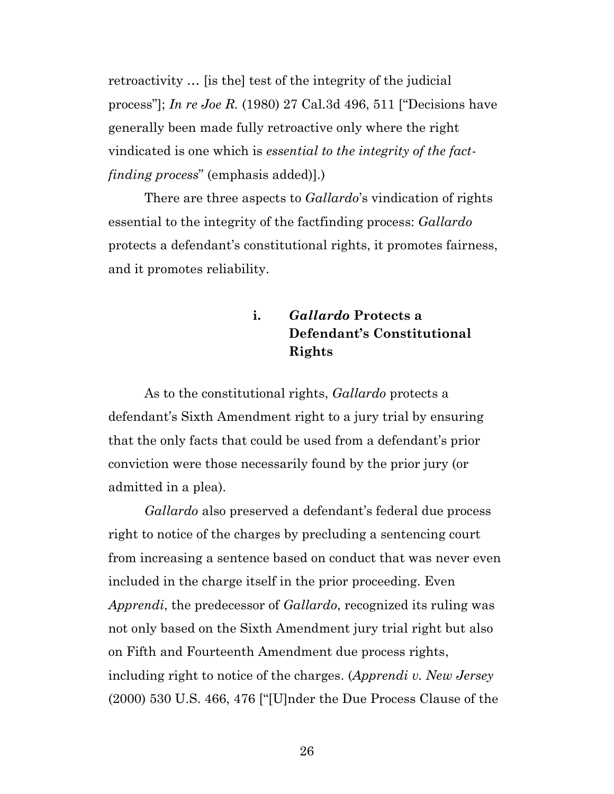<span id="page-25-1"></span>retroactivity … [is the] test of the integrity of the judicial process"]; *In re Joe R.* (1980) 27 Cal.3d 496, 511 ["Decisions have generally been made fully retroactive only where the right vindicated is one which is *essential to the integrity of the factfinding process*" (emphasis added)].)

There are three aspects to *Gallardo*'s vindication of rights essential to the integrity of the factfinding process: *Gallardo*  protects a defendant's constitutional rights, it promotes fairness, and it promotes reliability.

> **i.** *Gallardo* **Protects a Defendant's Constitutional Rights**

As to the constitutional rights, *Gallardo* protects a defendant's Sixth Amendment right to a jury trial by ensuring that the only facts that could be used from a defendant's prior conviction were those necessarily found by the prior jury (or admitted in a plea).

<span id="page-25-2"></span><span id="page-25-0"></span>*Gallardo* also preserved a defendant's federal due process right to notice of the charges by precluding a sentencing court from increasing a sentence based on conduct that was never even included in the charge itself in the prior proceeding. Even *Apprendi*, the predecessor of *Gallardo*, recognized its ruling was not only based on the Sixth Amendment jury trial right but also on Fifth and Fourteenth Amendment due process rights, including right to notice of the charges. (*Apprendi v. New Jersey*  (2000) 530 U.S. 466, 476 ["[U]nder the Due Process Clause of the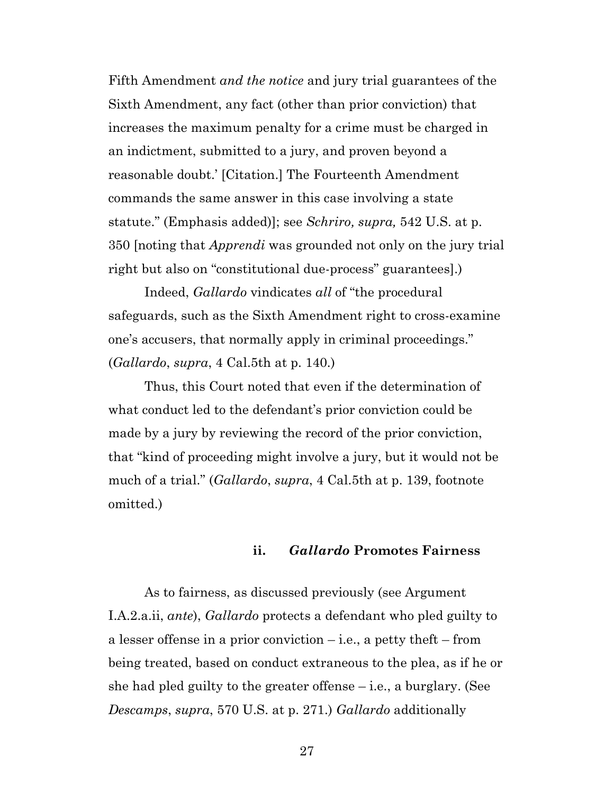<span id="page-26-2"></span><span id="page-26-1"></span>Fifth Amendment *and the notice* and jury trial guarantees of the Sixth Amendment, any fact (other than prior conviction) that increases the maximum penalty for a crime must be charged in an indictment, submitted to a jury, and proven beyond a reasonable doubt.' [Citation.] The Fourteenth Amendment commands the same answer in this case involving a state statute." (Emphasis added)]; see *Schriro, supra,* 542 U.S. at p. 350 [noting that *Apprendi* was grounded not only on the jury trial right but also on "constitutional due-process" guarantees].)

<span id="page-26-0"></span>Indeed, *Gallardo* vindicates *all* of "the procedural safeguards, such as the Sixth Amendment right to cross-examine one's accusers, that normally apply in criminal proceedings." (*Gallardo*, *supra*, 4 Cal.5th at p. 140.)

Thus, this Court noted that even if the determination of what conduct led to the defendant's prior conviction could be made by a jury by reviewing the record of the prior conviction, that "kind of proceeding might involve a jury, but it would not be much of a trial." (*Gallardo*, *supra*, 4 Cal.5th at p. 139, footnote omitted.)

#### **ii.** *Gallardo* **Promotes Fairness**

As to fairness, as discussed previously (see Argument I.A.2.a.ii, *ante*), *Gallardo* protects a defendant who pled guilty to a lesser offense in a prior conviction – i.e., a petty theft – from being treated, based on conduct extraneous to the plea, as if he or she had pled guilty to the greater offense – i.e., a burglary. (See *Descamps*, *supra*, 570 U.S. at p. 271.) *Gallardo* additionally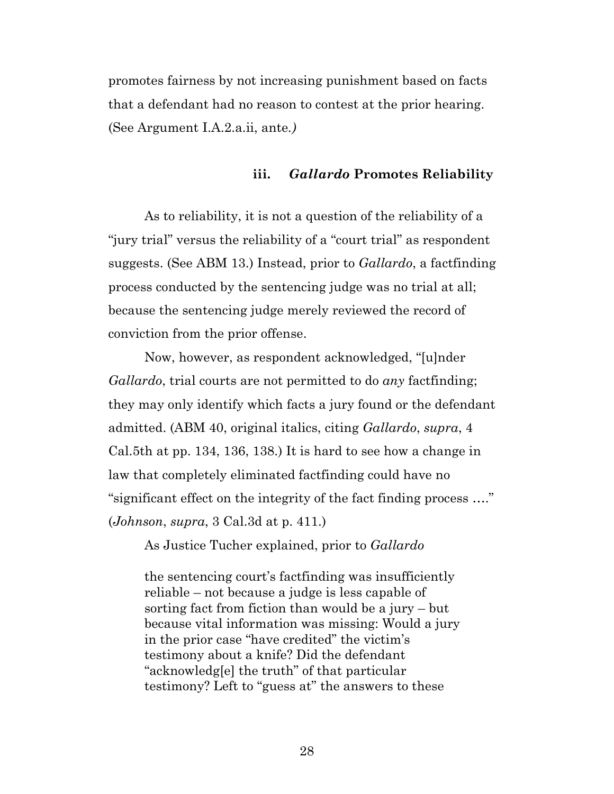promotes fairness by not increasing punishment based on facts that a defendant had no reason to contest at the prior hearing. (See Argument I.A.2.a.ii, ante*.)*

#### **iii.** *Gallardo* **Promotes Reliability**

As to reliability, it is not a question of the reliability of a "jury trial" versus the reliability of a "court trial" as respondent suggests. (See ABM 13.) Instead, prior to *Gallardo*, a factfinding process conducted by the sentencing judge was no trial at all; because the sentencing judge merely reviewed the record of conviction from the prior offense.

Now, however, as respondent acknowledged, "[u]nder *Gallardo*, trial courts are not permitted to do *any* factfinding; they may only identify which facts a jury found or the defendant admitted. (ABM 40, original italics, citing *Gallardo*, *supra*, 4 Cal.5th at pp. 134, 136, 138.) It is hard to see how a change in law that completely eliminated factfinding could have no "significant effect on the integrity of the fact finding process …." (*Johnson*, *supra*, 3 Cal.3d at p. 411.)

<span id="page-27-0"></span>As Justice Tucher explained, prior to *Gallardo*

the sentencing court's factfinding was insufficiently reliable – not because a judge is less capable of sorting fact from fiction than would be a jury – but because vital information was missing: Would a jury in the prior case "have credited" the victim's testimony about a knife? Did the defendant "acknowledg[e] the truth" of that particular testimony? Left to "guess at" the answers to these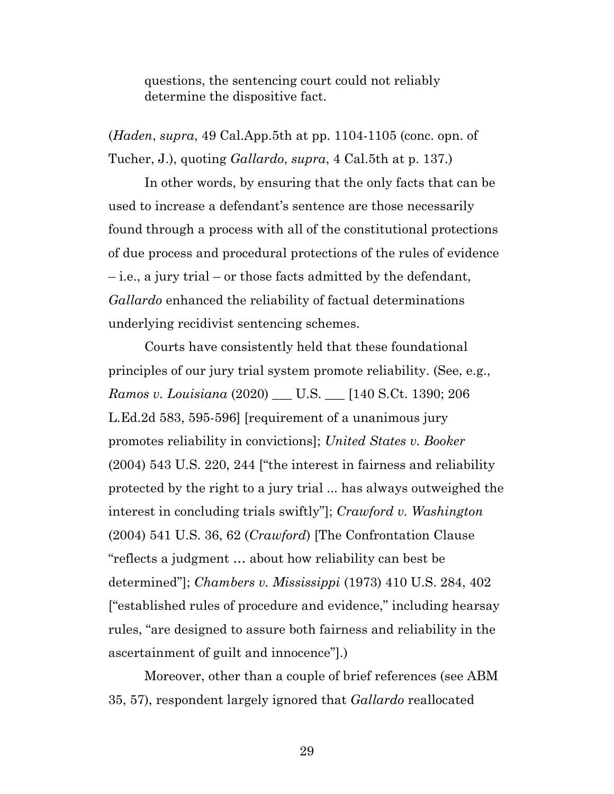questions, the sentencing court could not reliably determine the dispositive fact.

(*Haden*, *supra*, 49 Cal.App.5th at pp. 1104-1105 (conc. opn. of Tucher, J.), quoting *Gallardo*, *supra*, 4 Cal.5th at p. 137.)

In other words, by ensuring that the only facts that can be used to increase a defendant's sentence are those necessarily found through a process with all of the constitutional protections of due process and procedural protections of the rules of evidence – i.e., a jury trial – or those facts admitted by the defendant, *Gallardo* enhanced the reliability of factual determinations underlying recidivist sentencing schemes.

<span id="page-28-3"></span><span id="page-28-2"></span><span id="page-28-1"></span>Courts have consistently held that these foundational principles of our jury trial system promote reliability. (See, e.g., *Ramos v. Louisiana* (2020) \_\_\_ U.S. \_\_\_ [140 S.Ct. 1390; 206 L.Ed.2d 583, 595-596] [requirement of a unanimous jury promotes reliability in convictions]; *United States v. Booker*  (2004) 543 U.S. 220, 244 ["the interest in fairness and reliability protected by the right to a jury trial ... has always outweighed the interest in concluding trials swiftly"]; *Crawford v. Washington*  (2004) 541 U.S. 36, 62 (*Crawford*) [The Confrontation Clause "reflects a judgment … about how reliability can best be determined"]; *Chambers v. Mississippi* (1973) 410 U.S. 284, 402 ["established rules of procedure and evidence," including hearsay rules, "are designed to assure both fairness and reliability in the ascertainment of guilt and innocence"].)

<span id="page-28-0"></span>Moreover, other than a couple of brief references (see ABM 35, 57), respondent largely ignored that *Gallardo* reallocated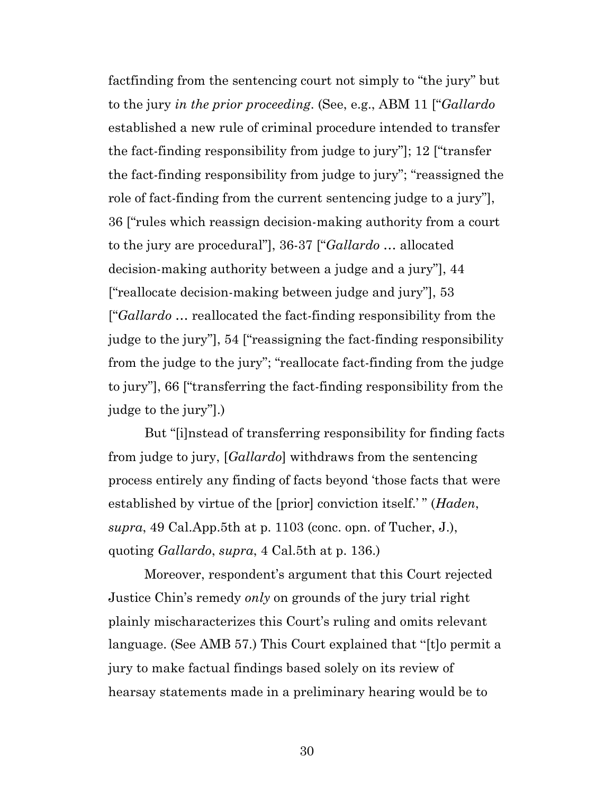factfinding from the sentencing court not simply to "the jury" but to the jury *in the prior proceeding*. (See, e.g., ABM 11 ["*Gallardo*  established a new rule of criminal procedure intended to transfer the fact-finding responsibility from judge to jury"]; 12 ["transfer the fact-finding responsibility from judge to jury"; "reassigned the role of fact-finding from the current sentencing judge to a jury"], 36 ["rules which reassign decision-making authority from a court to the jury are procedural"], 36-37 ["*Gallardo* … allocated decision-making authority between a judge and a jury"], 44 ["reallocate decision-making between judge and jury"], 53 ["*Gallardo* … reallocated the fact-finding responsibility from the judge to the jury"], 54 ["reassigning the fact-finding responsibility from the judge to the jury"; "reallocate fact-finding from the judge to jury"], 66 ["transferring the fact-finding responsibility from the judge to the jury"].)

But "[i]nstead of transferring responsibility for finding facts from judge to jury, [*Gallardo*] withdraws from the sentencing process entirely any finding of facts beyond 'those facts that were established by virtue of the [prior] conviction itself.' " (*Haden*, *supra*, 49 Cal.App.5th at p. 1103 (conc. opn. of Tucher, J.), quoting *Gallardo*, *supra*, 4 Cal.5th at p. 136.)

Moreover, respondent's argument that this Court rejected Justice Chin's remedy *only* on grounds of the jury trial right plainly mischaracterizes this Court's ruling and omits relevant language. (See AMB 57.) This Court explained that "[t]o permit a jury to make factual findings based solely on its review of hearsay statements made in a preliminary hearing would be to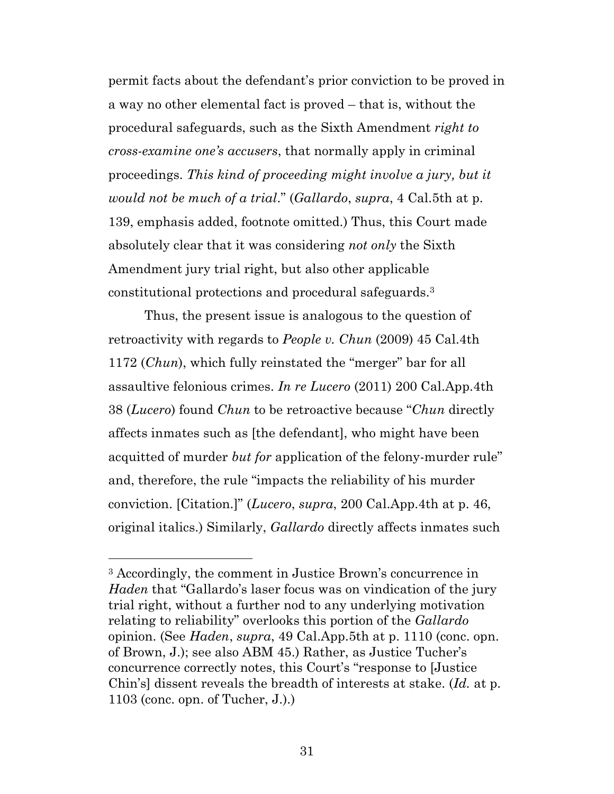permit facts about the defendant's prior conviction to be proved in a way no other elemental fact is proved – that is, without the procedural safeguards, such as the Sixth Amendment *right to cross-examine one's accusers*, that normally apply in criminal proceedings. *This kind of proceeding might involve a jury, but it would not be much of a trial*." (*Gallardo*, *supra*, 4 Cal.5th at p. 139, emphasis added, footnote omitted.) Thus, this Court made absolutely clear that it was considering *not only* the Sixth Amendment jury trial right, but also other applicable constitutional protections and procedural safeguards.<sup>3</sup>

<span id="page-30-1"></span><span id="page-30-0"></span>Thus, the present issue is analogous to the question of retroactivity with regards to *People v. Chun* (2009) 45 Cal.4th 1172 (*Chun*), which fully reinstated the "merger" bar for all assaultive felonious crimes. *In re Lucero* (2011) 200 Cal.App.4th 38 (*Lucero*) found *Chun* to be retroactive because "*Chun* directly affects inmates such as [the defendant], who might have been acquitted of murder *but for* application of the felony-murder rule" and, therefore, the rule "impacts the reliability of his murder conviction. [Citation.]" (*Lucero*, *supra*, 200 Cal.App.4th at p. 46, original italics.) Similarly, *Gallardo* directly affects inmates such

 $\overline{a}$ 

<sup>3</sup> Accordingly, the comment in Justice Brown's concurrence in *Haden* that "Gallardo's laser focus was on vindication of the jury trial right, without a further nod to any underlying motivation relating to reliability" overlooks this portion of the *Gallardo*  opinion. (See *Haden*, *supra*, 49 Cal.App.5th at p. 1110 (conc. opn. of Brown, J.); see also ABM 45.) Rather, as Justice Tucher's concurrence correctly notes, this Court's "response to [Justice Chin's] dissent reveals the breadth of interests at stake. (*Id.* at p. 1103 (conc. opn. of Tucher, J.).)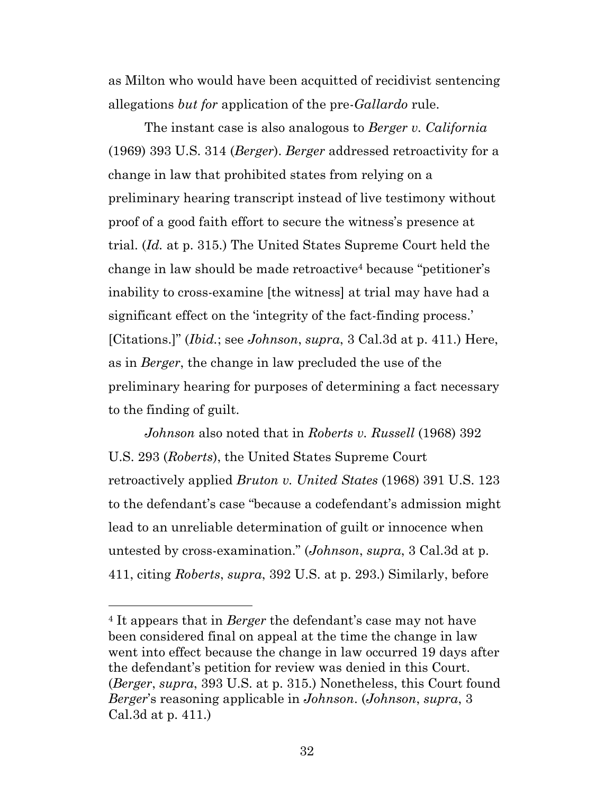as Milton who would have been acquitted of recidivist sentencing allegations *but for* application of the pre-*Gallardo* rule.

<span id="page-31-0"></span>The instant case is also analogous to *Berger v. California*  (1969) 393 U.S. 314 (*Berger*). *Berger* addressed retroactivity for a change in law that prohibited states from relying on a preliminary hearing transcript instead of live testimony without proof of a good faith effort to secure the witness's presence at trial. (*Id.* at p. 315.) The United States Supreme Court held the change in law should be made retroactive<sup>4</sup> because "petitioner's inability to cross-examine [the witness] at trial may have had a significant effect on the 'integrity of the fact-finding process.' [Citations.]" (*Ibid.*; see *Johnson*, *supra*, 3 Cal.3d at p. 411.) Here, as in *Berger*, the change in law precluded the use of the preliminary hearing for purposes of determining a fact necessary to the finding of guilt.

<span id="page-31-2"></span><span id="page-31-1"></span>*Johnson* also noted that in *Roberts v. Russell* (1968) 392 U.S. 293 (*Roberts*), the United States Supreme Court retroactively applied *Bruton v. United States* (1968) 391 U.S. 123 to the defendant's case "because a codefendant's admission might lead to an unreliable determination of guilt or innocence when untested by cross-examination." (*Johnson*, *supra*, 3 Cal.3d at p. 411, citing *Roberts*, *supra*, 392 U.S. at p. 293.) Similarly, before

 $\overline{a}$ 

<sup>4</sup> It appears that in *Berger* the defendant's case may not have been considered final on appeal at the time the change in law went into effect because the change in law occurred 19 days after the defendant's petition for review was denied in this Court. (*Berger*, *supra*, 393 U.S. at p. 315.) Nonetheless, this Court found *Berger*'s reasoning applicable in *Johnson*. (*Johnson*, *supra*, 3 Cal.3d at p. 411.)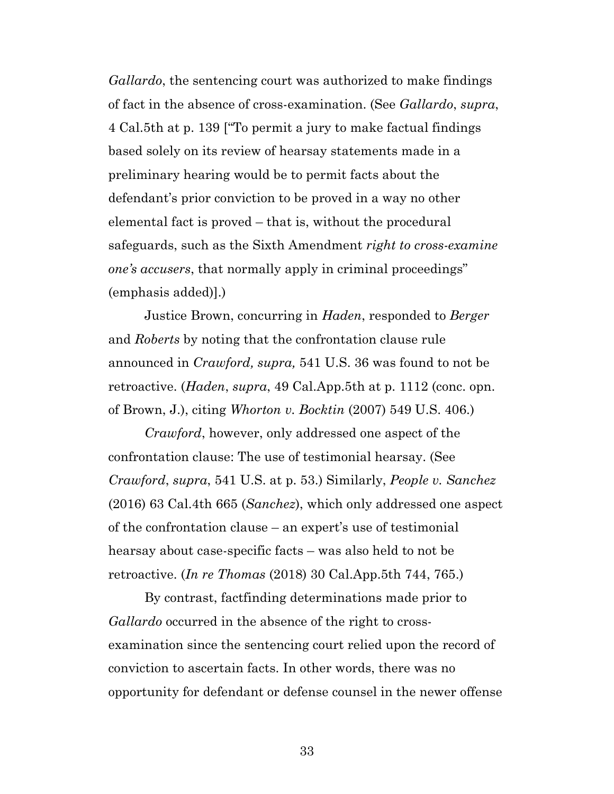*Gallardo*, the sentencing court was authorized to make findings of fact in the absence of cross-examination. (See *Gallardo*, *supra*, 4 Cal.5th at p. 139 ["To permit a jury to make factual findings based solely on its review of hearsay statements made in a preliminary hearing would be to permit facts about the defendant's prior conviction to be proved in a way no other elemental fact is proved – that is, without the procedural safeguards, such as the Sixth Amendment *right to cross-examine one's accusers*, that normally apply in criminal proceedings" (emphasis added)].)

<span id="page-32-0"></span>Justice Brown, concurring in *Haden*, responded to *Berger* and *Roberts* by noting that the confrontation clause rule announced in *Crawford, supra,* 541 U.S. 36 was found to not be retroactive. (*Haden*, *supra*, 49 Cal.App.5th at p. 1112 (conc. opn. of Brown, J.), citing *Whorton v. Bocktin* (2007) 549 U.S. 406.)

<span id="page-32-3"></span><span id="page-32-1"></span>*Crawford*, however, only addressed one aspect of the confrontation clause: The use of testimonial hearsay. (See *Crawford*, *supra*, 541 U.S. at p. 53.) Similarly, *People v. Sanchez*  (2016) 63 Cal.4th 665 (*Sanchez*), which only addressed one aspect of the confrontation clause – an expert's use of testimonial hearsay about case-specific facts – was also held to not be retroactive. (*In re Thomas* (2018) 30 Cal.App.5th 744, 765.)

<span id="page-32-2"></span>By contrast, factfinding determinations made prior to *Gallardo* occurred in the absence of the right to crossexamination since the sentencing court relied upon the record of conviction to ascertain facts. In other words, there was no opportunity for defendant or defense counsel in the newer offense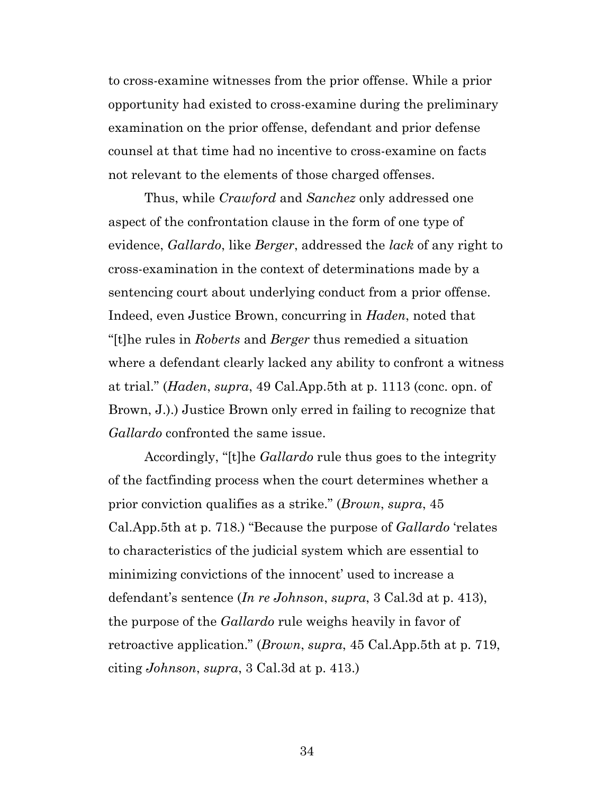to cross-examine witnesses from the prior offense. While a prior opportunity had existed to cross-examine during the preliminary examination on the prior offense, defendant and prior defense counsel at that time had no incentive to cross-examine on facts not relevant to the elements of those charged offenses.

Thus, while *Crawford* and *Sanchez* only addressed one aspect of the confrontation clause in the form of one type of evidence, *Gallardo*, like *Berger*, addressed the *lack* of any right to cross-examination in the context of determinations made by a sentencing court about underlying conduct from a prior offense. Indeed, even Justice Brown, concurring in *Haden*, noted that "[t]he rules in *Roberts* and *Berger* thus remedied a situation where a defendant clearly lacked any ability to confront a witness at trial." (*Haden*, *supra*, 49 Cal.App.5th at p. 1113 (conc. opn. of Brown, J.).) Justice Brown only erred in failing to recognize that *Gallardo* confronted the same issue.

<span id="page-33-0"></span>Accordingly, "[t]he *Gallardo* rule thus goes to the integrity of the factfinding process when the court determines whether a prior conviction qualifies as a strike." (*Brown*, *supra*, 45 Cal.App.5th at p. 718.) "Because the purpose of *Gallardo* 'relates to characteristics of the judicial system which are essential to minimizing convictions of the innocent' used to increase a defendant's sentence (*In re Johnson*, *supra*, 3 Cal.3d at p. 413), the purpose of the *Gallardo* rule weighs heavily in favor of retroactive application." (*Brown*, *supra*, 45 Cal.App.5th at p. 719, citing *Johnson*, *supra*, 3 Cal.3d at p. 413.)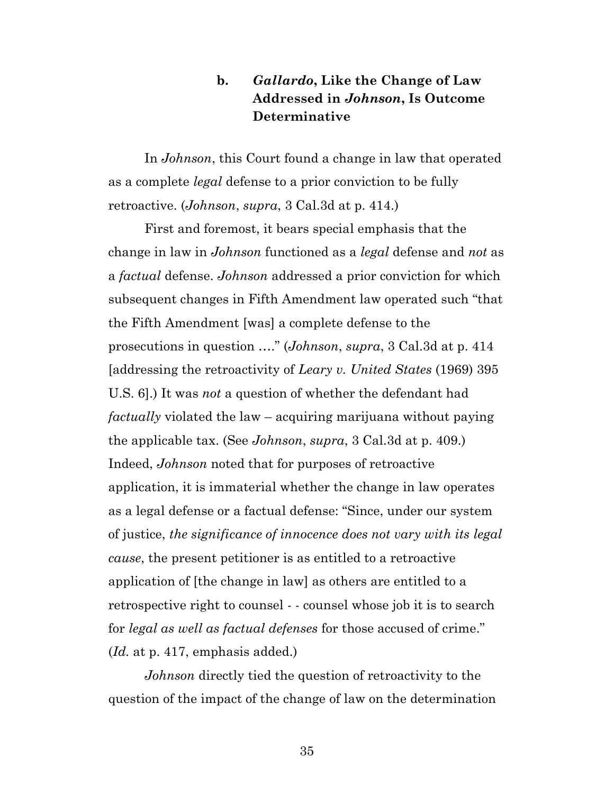## **b.** *Gallardo***, Like the Change of Law Addressed in** *Johnson***, Is Outcome Determinative**

In *Johnson*, this Court found a change in law that operated as a complete *legal* defense to a prior conviction to be fully retroactive. (*Johnson*, *supra*, 3 Cal.3d at p. 414.)

<span id="page-34-1"></span><span id="page-34-0"></span>First and foremost, it bears special emphasis that the change in law in *Johnson* functioned as a *legal* defense and *not* as a *factual* defense. *Johnson* addressed a prior conviction for which subsequent changes in Fifth Amendment law operated such "that the Fifth Amendment [was] a complete defense to the prosecutions in question …." (*Johnson*, *supra*, 3 Cal.3d at p. 414 [addressing the retroactivity of *Leary v. United States* (1969) 395 U.S. 6].) It was *not* a question of whether the defendant had *factually* violated the law – acquiring marijuana without paying the applicable tax. (See *Johnson*, *supra*, 3 Cal.3d at p. 409.) Indeed, *Johnson* noted that for purposes of retroactive application, it is immaterial whether the change in law operates as a legal defense or a factual defense: "Since, under our system of justice, *the significance of innocence does not vary with its legal cause*, the present petitioner is as entitled to a retroactive application of [the change in law] as others are entitled to a retrospective right to counsel - - counsel whose job it is to search for *legal as well as factual defenses* for those accused of crime." (*Id.* at p. 417, emphasis added.)

*Johnson* directly tied the question of retroactivity to the question of the impact of the change of law on the determination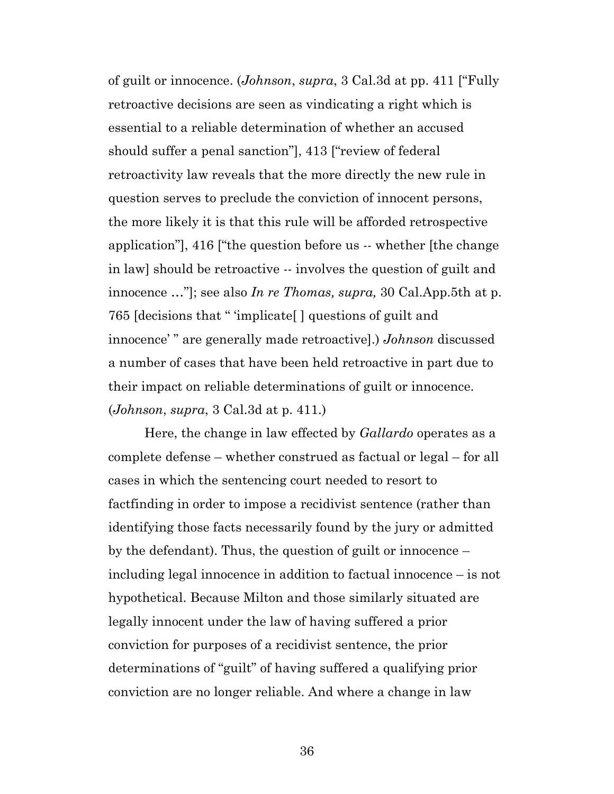of guilt or innocence. (*Johnson*, *supra*, 3 Cal.3d at pp. 411 ["Fully retroactive decisions are seen as vindicating a right which is essential to a reliable determination of whether an accused should suffer a penal sanction"], 413 ["review of federal retroactivity law reveals that the more directly the new rule in question serves to preclude the conviction of innocent persons, the more likely it is that this rule will be afforded retrospective application"], 416 ["the question before us -- whether [the change in law] should be retroactive -- involves the question of guilt and innocence …"]; see also *In re Thomas, supra,* 30 Cal.App.5th at p. 765 [decisions that " 'implicate[ ] questions of guilt and innocence' " are generally made retroactive].) *Johnson* discussed a number of cases that have been held retroactive in part due to their impact on reliable determinations of guilt or innocence. (*Johnson*, *supra*, 3 Cal.3d at p. 411.)

<span id="page-35-0"></span>Here, the change in law effected by *Gallardo* operates as a complete defense – whether construed as factual or legal – for all cases in which the sentencing court needed to resort to factfinding in order to impose a recidivist sentence (rather than identifying those facts necessarily found by the jury or admitted by the defendant). Thus, the question of guilt or innocence – including legal innocence in addition to factual innocence – is not hypothetical. Because Milton and those similarly situated are legally innocent under the law of having suffered a prior conviction for purposes of a recidivist sentence, the prior determinations of "guilt" of having suffered a qualifying prior conviction are no longer reliable. And where a change in law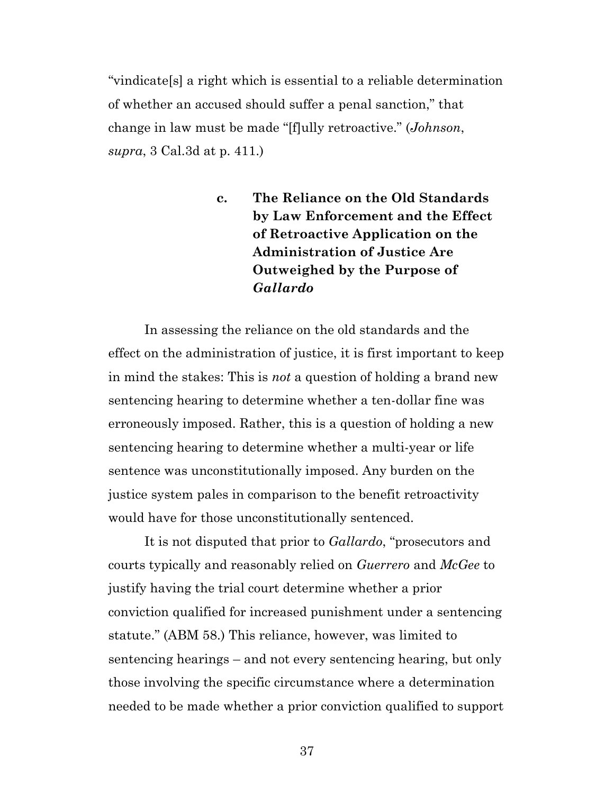"vindicate[s] a right which is essential to a reliable determination of whether an accused should suffer a penal sanction," that change in law must be made "[f]ully retroactive." (*Johnson*, *supra*, 3 Cal.3d at p. 411.)

> **c. The Reliance on the Old Standards by Law Enforcement and the Effect of Retroactive Application on the Administration of Justice Are Outweighed by the Purpose of**  *Gallardo*

In assessing the reliance on the old standards and the effect on the administration of justice, it is first important to keep in mind the stakes: This is *not* a question of holding a brand new sentencing hearing to determine whether a ten-dollar fine was erroneously imposed. Rather, this is a question of holding a new sentencing hearing to determine whether a multi-year or life sentence was unconstitutionally imposed. Any burden on the justice system pales in comparison to the benefit retroactivity would have for those unconstitutionally sentenced.

It is not disputed that prior to *Gallardo*, "prosecutors and courts typically and reasonably relied on *Guerrero* and *McGee* to justify having the trial court determine whether a prior conviction qualified for increased punishment under a sentencing statute." (ABM 58.) This reliance, however, was limited to sentencing hearings – and not every sentencing hearing, but only those involving the specific circumstance where a determination needed to be made whether a prior conviction qualified to support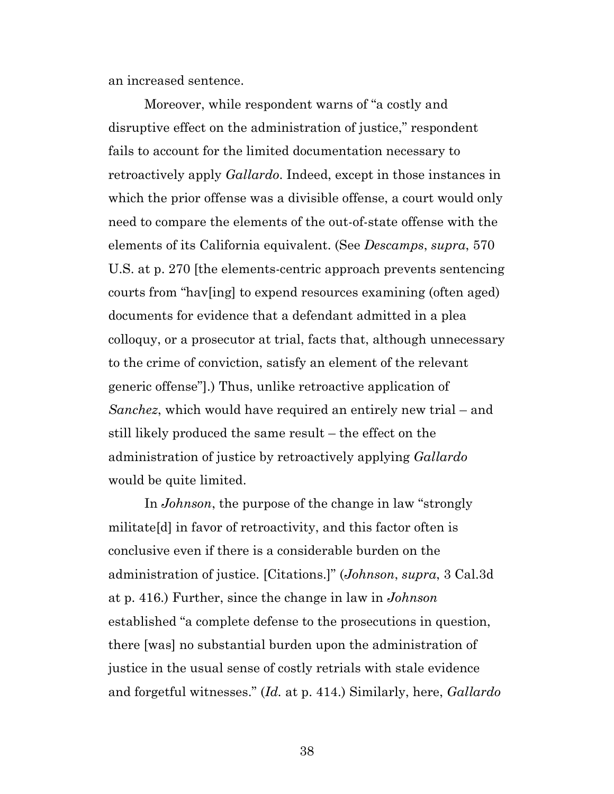an increased sentence.

Moreover, while respondent warns of "a costly and disruptive effect on the administration of justice," respondent fails to account for the limited documentation necessary to retroactively apply *Gallardo*. Indeed, except in those instances in which the prior offense was a divisible offense, a court would only need to compare the elements of the out-of-state offense with the elements of its California equivalent. (See *Descamps*, *supra*, 570 U.S. at p. 270 [the elements-centric approach prevents sentencing courts from "hav[ing] to expend resources examining (often aged) documents for evidence that a defendant admitted in a plea colloquy, or a prosecutor at trial, facts that, although unnecessary to the crime of conviction, satisfy an element of the relevant generic offense"].) Thus, unlike retroactive application of *Sanchez*, which would have required an entirely new trial – and still likely produced the same result – the effect on the administration of justice by retroactively applying *Gallardo*  would be quite limited.

In *Johnson*, the purpose of the change in law "strongly militate[d] in favor of retroactivity, and this factor often is conclusive even if there is a considerable burden on the administration of justice. [Citations.]" (*Johnson*, *supra*, 3 Cal.3d at p. 416.) Further, since the change in law in *Johnson*  established "a complete defense to the prosecutions in question, there [was] no substantial burden upon the administration of justice in the usual sense of costly retrials with stale evidence and forgetful witnesses." (*Id.* at p. 414.) Similarly, here, *Gallardo*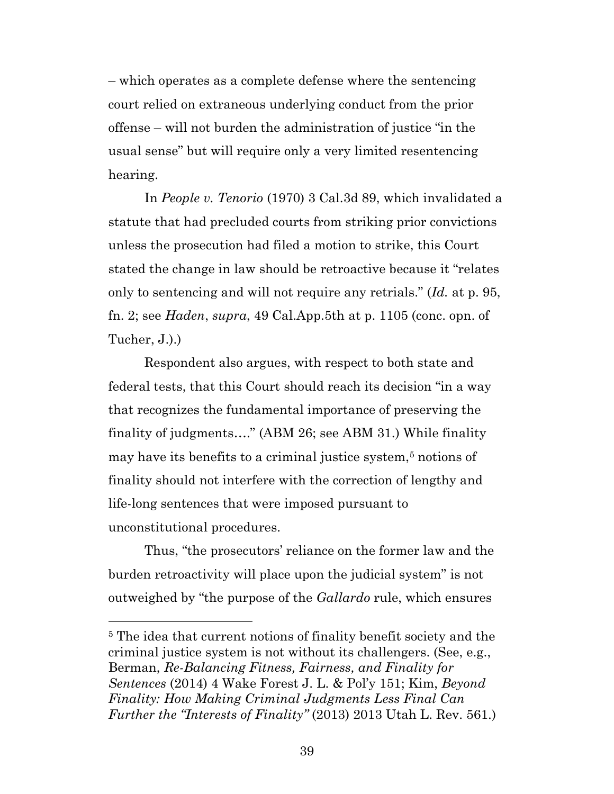– which operates as a complete defense where the sentencing court relied on extraneous underlying conduct from the prior offense – will not burden the administration of justice "in the usual sense" but will require only a very limited resentencing hearing.

<span id="page-38-0"></span>In *People v. Tenorio* (1970) 3 Cal.3d 89, which invalidated a statute that had precluded courts from striking prior convictions unless the prosecution had filed a motion to strike, this Court stated the change in law should be retroactive because it "relates only to sentencing and will not require any retrials." (*Id.* at p. 95, fn. 2; see *Haden*, *supra*, 49 Cal.App.5th at p. 1105 (conc. opn. of Tucher, J.).)

Respondent also argues, with respect to both state and federal tests, that this Court should reach its decision "in a way that recognizes the fundamental importance of preserving the finality of judgments…." (ABM 26; see ABM 31.) While finality may have its benefits to a criminal justice system,<sup>5</sup> notions of finality should not interfere with the correction of lengthy and life-long sentences that were imposed pursuant to unconstitutional procedures.

Thus, "the prosecutors' reliance on the former law and the burden retroactivity will place upon the judicial system" is not outweighed by "the purpose of the *Gallardo* rule, which ensures

 $\overline{a}$ 

<span id="page-38-2"></span><span id="page-38-1"></span><sup>5</sup> The idea that current notions of finality benefit society and the criminal justice system is not without its challengers. (See, e.g., Berman, *Re-Balancing Fitness, Fairness, and Finality for Sentences* (2014) 4 Wake Forest J. L. & Pol'y 151; Kim, *Beyond Finality: How Making Criminal Judgments Less Final Can Further the "Interests of Finality"* (2013) 2013 Utah L. Rev. 561.)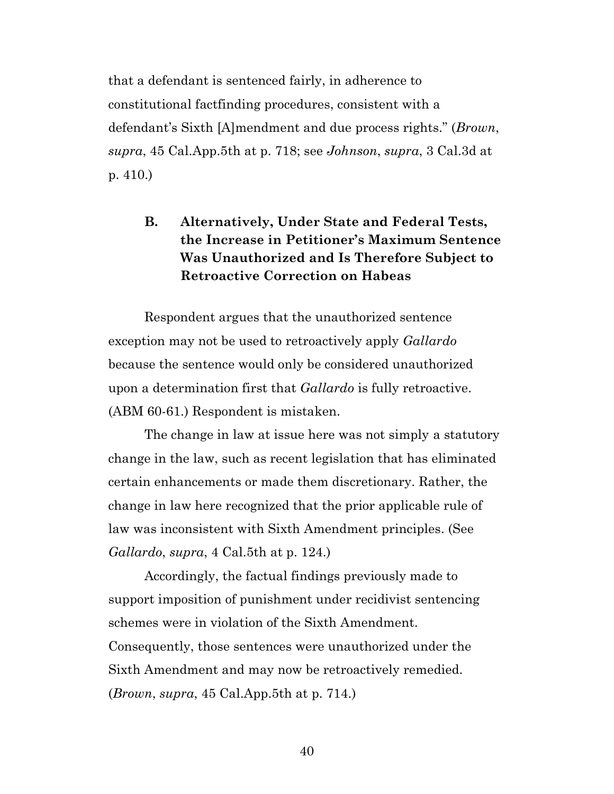that a defendant is sentenced fairly, in adherence to constitutional factfinding procedures, consistent with a defendant's Sixth [A]mendment and due process rights." (*Brown*, *supra*, 45 Cal.App.5th at p. 718; see *Johnson*, *supra*, 3 Cal.3d at p. 410.)

## <span id="page-39-0"></span>**B. Alternatively, Under State and Federal Tests, the Increase in Petitioner's Maximum Sentence Was Unauthorized and Is Therefore Subject to Retroactive Correction on Habeas**

Respondent argues that the unauthorized sentence exception may not be used to retroactively apply *Gallardo*  because the sentence would only be considered unauthorized upon a determination first that *Gallardo* is fully retroactive. (ABM 60-61.) Respondent is mistaken.

The change in law at issue here was not simply a statutory change in the law, such as recent legislation that has eliminated certain enhancements or made them discretionary. Rather, the change in law here recognized that the prior applicable rule of law was inconsistent with Sixth Amendment principles. (See *Gallardo*, *supra*, 4 Cal.5th at p. 124.)

Accordingly, the factual findings previously made to support imposition of punishment under recidivist sentencing schemes were in violation of the Sixth Amendment. Consequently, those sentences were unauthorized under the Sixth Amendment and may now be retroactively remedied. (*Brown*, *supra*, 45 Cal.App.5th at p. 714.)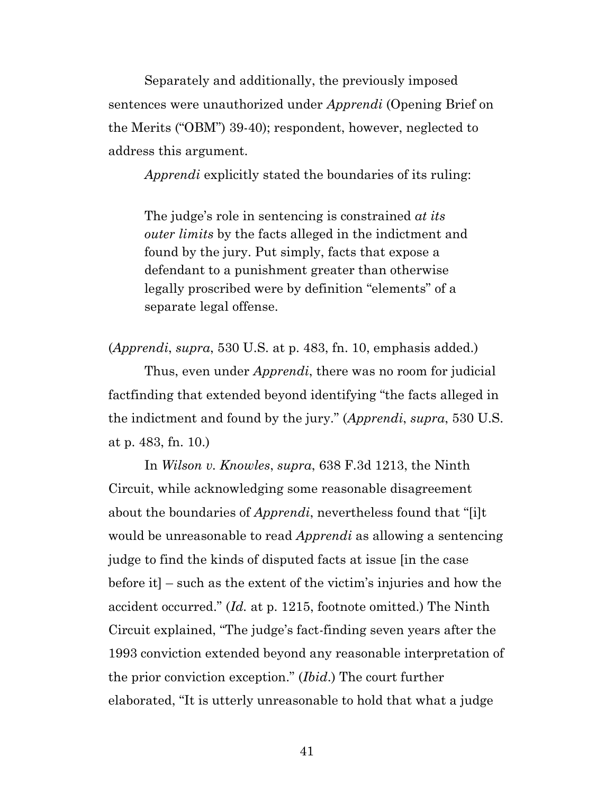Separately and additionally, the previously imposed sentences were unauthorized under *Apprendi* (Opening Brief on the Merits ("OBM") 39-40); respondent, however, neglected to address this argument.

*Apprendi* explicitly stated the boundaries of its ruling:

The judge's role in sentencing is constrained *at its outer limits* by the facts alleged in the indictment and found by the jury. Put simply, facts that expose a defendant to a punishment greater than otherwise legally proscribed were by definition "elements" of a separate legal offense.

<span id="page-40-0"></span>(*Apprendi*, *supra*, 530 U.S. at p. 483, fn. 10, emphasis added.)

Thus, even under *Apprendi*, there was no room for judicial factfinding that extended beyond identifying "the facts alleged in the indictment and found by the jury." (*Apprendi*, *supra*, 530 U.S. at p. 483, fn. 10.)

<span id="page-40-1"></span>In *Wilson v. Knowles*, *supra*, 638 F.3d 1213, the Ninth Circuit, while acknowledging some reasonable disagreement about the boundaries of *Apprendi*, nevertheless found that "[i]t would be unreasonable to read *Apprendi* as allowing a sentencing judge to find the kinds of disputed facts at issue [in the case before it] – such as the extent of the victim's injuries and how the accident occurred." (*Id.* at p. 1215, footnote omitted.) The Ninth Circuit explained, "The judge's fact-finding seven years after the 1993 conviction extended beyond any reasonable interpretation of the prior conviction exception." (*Ibid*.) The court further elaborated, "It is utterly unreasonable to hold that what a judge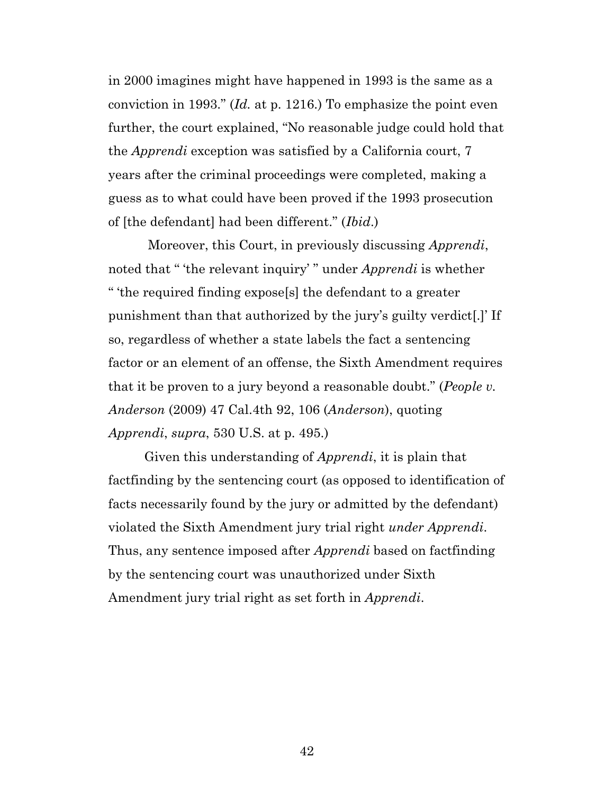<span id="page-41-1"></span>in 2000 imagines might have happened in 1993 is the same as a conviction in 1993." (*Id.* at p. 1216.) To emphasize the point even further, the court explained, "No reasonable judge could hold that the *Apprendi* exception was satisfied by a California court, 7 years after the criminal proceedings were completed, making a guess as to what could have been proved if the 1993 prosecution of [the defendant] had been different." (*Ibid*.)

Moreover, this Court, in previously discussing *Apprendi*, noted that " 'the relevant inquiry' " under *Apprendi* is whether " 'the required finding expose[s] the defendant to a greater punishment than that authorized by the jury's guilty verdict[.]' If so, regardless of whether a state labels the fact a sentencing factor or an element of an offense, the Sixth Amendment requires that it be proven to a jury beyond a reasonable doubt." (*People v. Anderson* (2009) 47 Cal.4th 92, 106 (*Anderson*), quoting *Apprendi*, *supra*, 530 U.S. at p. 495.)

<span id="page-41-2"></span><span id="page-41-0"></span>Given this understanding of *Apprendi*, it is plain that factfinding by the sentencing court (as opposed to identification of facts necessarily found by the jury or admitted by the defendant) violated the Sixth Amendment jury trial right *under Apprendi*. Thus, any sentence imposed after *Apprendi* based on factfinding by the sentencing court was unauthorized under Sixth Amendment jury trial right as set forth in *Apprendi*.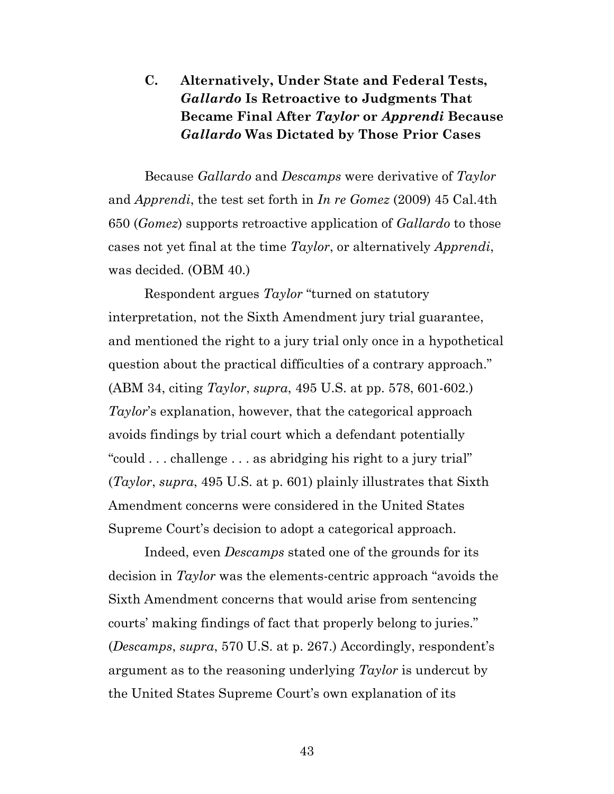## <span id="page-42-1"></span>**C. Alternatively, Under State and Federal Tests,**  *Gallardo* **Is Retroactive to Judgments That Became Final After** *Taylor* **or** *Apprendi* **Because**  *Gallardo* **Was Dictated by Those Prior Cases**

Because *Gallardo* and *Descamps* were derivative of *Taylor*  and *Apprendi*, the test set forth in *In re Gomez* (2009) 45 Cal.4th 650 (*Gomez*) supports retroactive application of *Gallardo* to those cases not yet final at the time *Taylor*, or alternatively *Apprendi*, was decided. (OBM 40.)

<span id="page-42-0"></span>Respondent argues *Taylor* "turned on statutory interpretation, not the Sixth Amendment jury trial guarantee, and mentioned the right to a jury trial only once in a hypothetical question about the practical difficulties of a contrary approach." (ABM 34, citing *Taylor*, *supra*, 495 U.S. at pp. 578, 601-602.) *Taylor*'s explanation, however, that the categorical approach avoids findings by trial court which a defendant potentially "could . . . challenge . . . as abridging his right to a jury trial" (*Taylor*, *supra*, 495 U.S. at p. 601) plainly illustrates that Sixth Amendment concerns were considered in the United States Supreme Court's decision to adopt a categorical approach.

Indeed, even *Descamps* stated one of the grounds for its decision in *Taylor* was the elements-centric approach "avoids the Sixth Amendment concerns that would arise from sentencing courts' making findings of fact that properly belong to juries." (*Descamps*, *supra*, 570 U.S. at p. 267.) Accordingly, respondent's argument as to the reasoning underlying *Taylor* is undercut by the United States Supreme Court's own explanation of its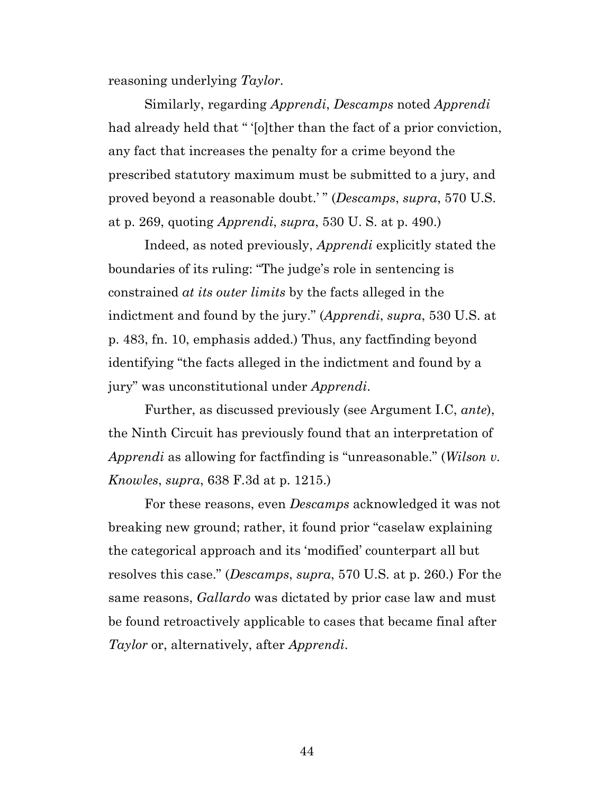reasoning underlying *Taylor*.

Similarly, regarding *Apprendi*, *Descamps* noted *Apprendi* had already held that " '[o]ther than the fact of a prior conviction, any fact that increases the penalty for a crime beyond the prescribed statutory maximum must be submitted to a jury, and proved beyond a reasonable doubt.' " (*Descamps*, *supra*, 570 U.S. at p. 269, quoting *Apprendi*, *supra*, 530 U. S. at p. 490.)

<span id="page-43-0"></span>Indeed, as noted previously, *Apprendi* explicitly stated the boundaries of its ruling: "The judge's role in sentencing is constrained *at its outer limits* by the facts alleged in the indictment and found by the jury." (*Apprendi*, *supra*, 530 U.S. at p. 483, fn. 10, emphasis added.) Thus, any factfinding beyond identifying "the facts alleged in the indictment and found by a jury" was unconstitutional under *Apprendi*.

<span id="page-43-1"></span>Further, as discussed previously (see Argument I.C, *ante*), the Ninth Circuit has previously found that an interpretation of *Apprendi* as allowing for factfinding is "unreasonable." (*Wilson v. Knowles*, *supra*, 638 F.3d at p. 1215.)

For these reasons, even *Descamps* acknowledged it was not breaking new ground; rather, it found prior "caselaw explaining the categorical approach and its 'modified' counterpart all but resolves this case." (*Descamps*, *supra*, 570 U.S. at p. 260.) For the same reasons, *Gallardo* was dictated by prior case law and must be found retroactively applicable to cases that became final after *Taylor* or, alternatively, after *Apprendi*.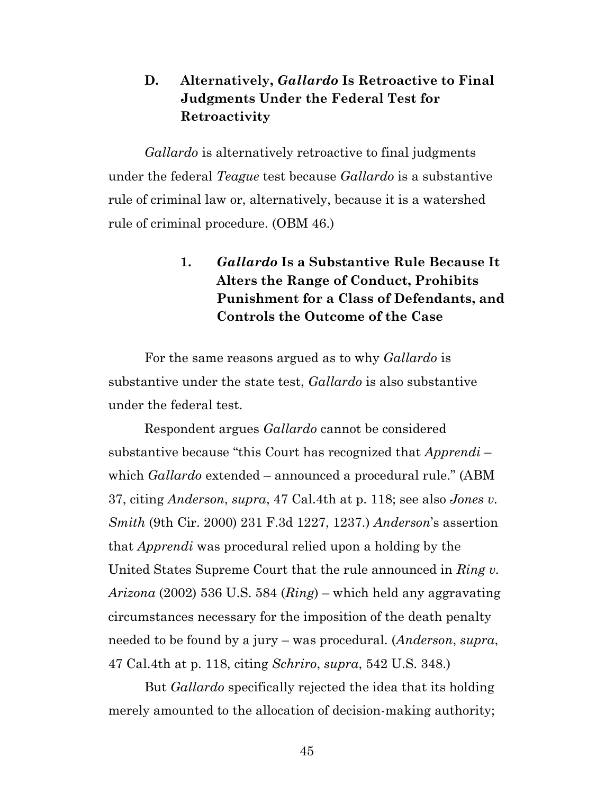## **D. Alternatively,** *Gallardo* **Is Retroactive to Final Judgments Under the Federal Test for Retroactivity**

*Gallardo* is alternatively retroactive to final judgments under the federal *Teague* test because *Gallardo* is a substantive rule of criminal law or, alternatively, because it is a watershed rule of criminal procedure. (OBM 46.)

## **1.** *Gallardo* **Is a Substantive Rule Because It Alters the Range of Conduct, Prohibits Punishment for a Class of Defendants, and Controls the Outcome of the Case**

For the same reasons argued as to why *Gallardo* is substantive under the state test, *Gallardo* is also substantive under the federal test.

<span id="page-44-3"></span><span id="page-44-0"></span>Respondent argues *Gallardo* cannot be considered substantive because "this Court has recognized that *Apprendi* – which *Gallardo* extended – announced a procedural rule." (ABM 37, citing *Anderson*, *supra*, 47 Cal.4th at p. 118; see also *Jones v. Smith* (9th Cir. 2000) 231 F.3d 1227, 1237.) *Anderson*'s assertion that *Apprendi* was procedural relied upon a holding by the United States Supreme Court that the rule announced in *Ring v. Arizona* (2002) 536 U.S. 584 (*Ring*) – which held any aggravating circumstances necessary for the imposition of the death penalty needed to be found by a jury – was procedural. (*Anderson*, *supra*, 47 Cal.4th at p. 118, citing *Schriro*, *supra*, 542 U.S. 348.)

<span id="page-44-2"></span><span id="page-44-1"></span>But *Gallardo* specifically rejected the idea that its holding merely amounted to the allocation of decision-making authority;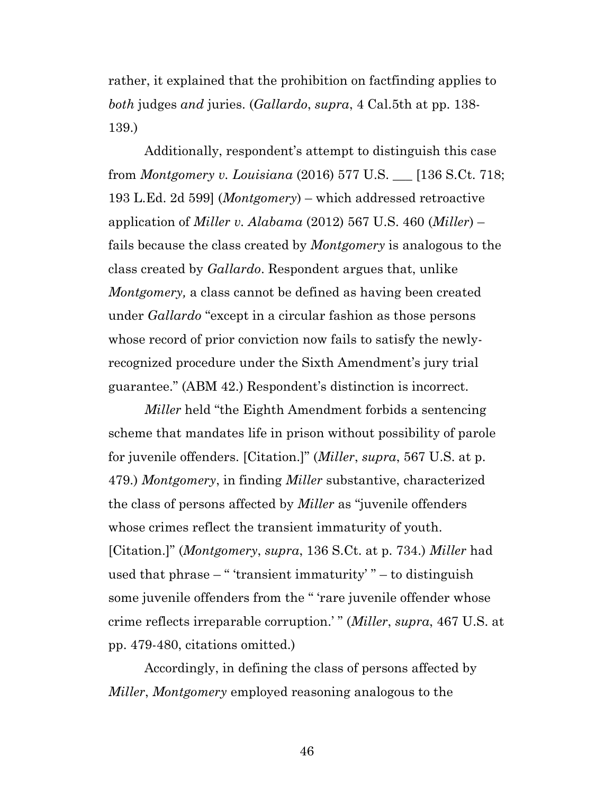rather, it explained that the prohibition on factfinding applies to *both* judges *and* juries. (*Gallardo*, *supra*, 4 Cal.5th at pp. 138- 139.)

<span id="page-45-1"></span><span id="page-45-0"></span>Additionally, respondent's attempt to distinguish this case from *Montgomery v. Louisiana* (2016) 577 U.S. \_\_\_ [136 S.Ct. 718; 193 L.Ed. 2d 599] (*Montgomery*) – which addressed retroactive application of *Miller v. Alabama* (2012) 567 U.S. 460 (*Miller*) – fails because the class created by *Montgomery* is analogous to the class created by *Gallardo*. Respondent argues that, unlike *Montgomery,* a class cannot be defined as having been created under *Gallardo* "except in a circular fashion as those persons whose record of prior conviction now fails to satisfy the newlyrecognized procedure under the Sixth Amendment's jury trial guarantee." (ABM 42.) Respondent's distinction is incorrect.

<span id="page-45-2"></span>*Miller* held "the Eighth Amendment forbids a sentencing scheme that mandates life in prison without possibility of parole for juvenile offenders. [Citation.]" (*Miller*, *supra*, 567 U.S. at p. 479.) *Montgomery*, in finding *Miller* substantive, characterized the class of persons affected by *Miller* as "juvenile offenders whose crimes reflect the transient immaturity of youth. [Citation.]" (*Montgomery*, *supra*, 136 S.Ct. at p. 734.) *Miller* had used that phrase – " 'transient immaturity' " – to distinguish some juvenile offenders from the " 'rare juvenile offender whose crime reflects irreparable corruption.' " (*Miller*, *supra*, 467 U.S. at pp. 479-480, citations omitted.)

Accordingly, in defining the class of persons affected by *Miller*, *Montgomery* employed reasoning analogous to the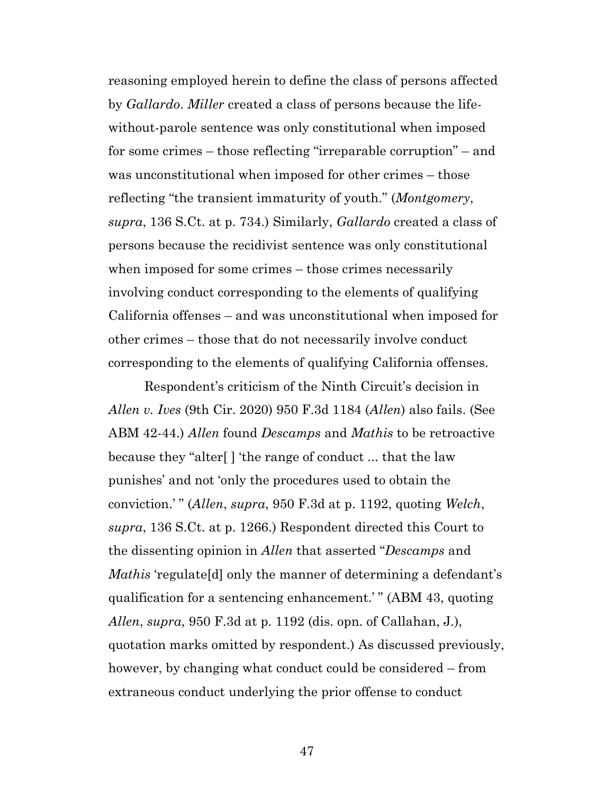<span id="page-46-1"></span>reasoning employed herein to define the class of persons affected by *Gallardo*. *Miller* created a class of persons because the lifewithout-parole sentence was only constitutional when imposed for some crimes – those reflecting "irreparable corruption" – and was unconstitutional when imposed for other crimes – those reflecting "the transient immaturity of youth." (*Montgomery*, *supra*, 136 S.Ct. at p. 734.) Similarly, *Gallardo* created a class of persons because the recidivist sentence was only constitutional when imposed for some crimes – those crimes necessarily involving conduct corresponding to the elements of qualifying California offenses – and was unconstitutional when imposed for other crimes – those that do not necessarily involve conduct corresponding to the elements of qualifying California offenses.

<span id="page-46-2"></span><span id="page-46-0"></span>Respondent's criticism of the Ninth Circuit's decision in *Allen v. Ives* (9th Cir. 2020) 950 F.3d 1184 (*Allen*) also fails. (See ABM 42-44.) *Allen* found *Descamps* and *Mathis* to be retroactive because they "alter[ ] 'the range of conduct ... that the law punishes' and not 'only the procedures used to obtain the conviction.' " (*Allen*, *supra*, 950 F.3d at p. 1192, quoting *Welch*, *supra*, 136 S.Ct. at p. 1266.) Respondent directed this Court to the dissenting opinion in *Allen* that asserted "*Descamps* and *Mathis* 'regulate[d] only the manner of determining a defendant's qualification for a sentencing enhancement.' " (ABM 43, quoting *Allen*, *supra*, 950 F.3d at p. 1192 (dis. opn. of Callahan, J.), quotation marks omitted by respondent.) As discussed previously, however, by changing what conduct could be considered – from extraneous conduct underlying the prior offense to conduct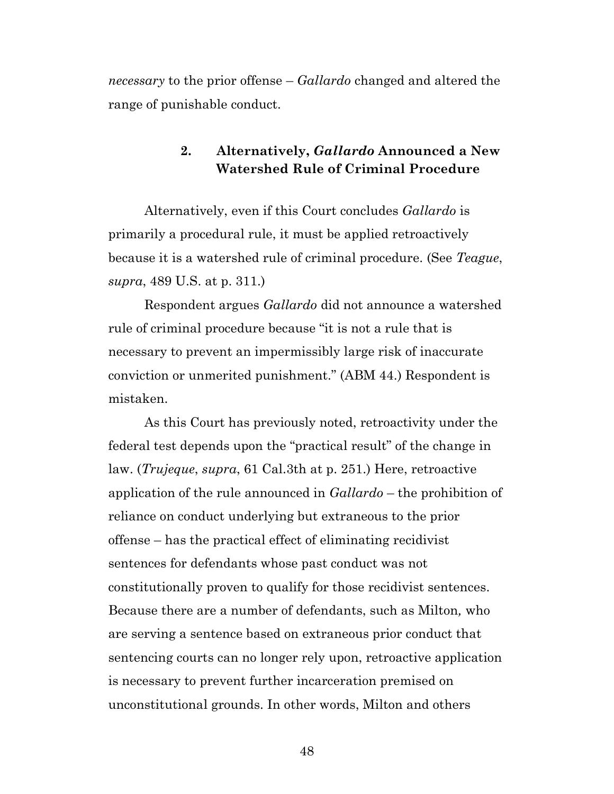*necessary* to the prior offense – *Gallardo* changed and altered the range of punishable conduct.

## <span id="page-47-0"></span>**2. Alternatively,** *Gallardo* **Announced a New Watershed Rule of Criminal Procedure**

Alternatively, even if this Court concludes *Gallardo* is primarily a procedural rule, it must be applied retroactively because it is a watershed rule of criminal procedure. (See *Teague*, *supra*, 489 U.S. at p. 311.)

Respondent argues *Gallardo* did not announce a watershed rule of criminal procedure because "it is not a rule that is necessary to prevent an impermissibly large risk of inaccurate conviction or unmerited punishment." (ABM 44.) Respondent is mistaken.

<span id="page-47-1"></span>As this Court has previously noted, retroactivity under the federal test depends upon the "practical result" of the change in law. (*Trujeque*, *supra*, 61 Cal.3th at p. 251.) Here, retroactive application of the rule announced in *Gallardo* – the prohibition of reliance on conduct underlying but extraneous to the prior offense – has the practical effect of eliminating recidivist sentences for defendants whose past conduct was not constitutionally proven to qualify for those recidivist sentences. Because there are a number of defendants, such as Milton*,* who are serving a sentence based on extraneous prior conduct that sentencing courts can no longer rely upon, retroactive application is necessary to prevent further incarceration premised on unconstitutional grounds. In other words, Milton and others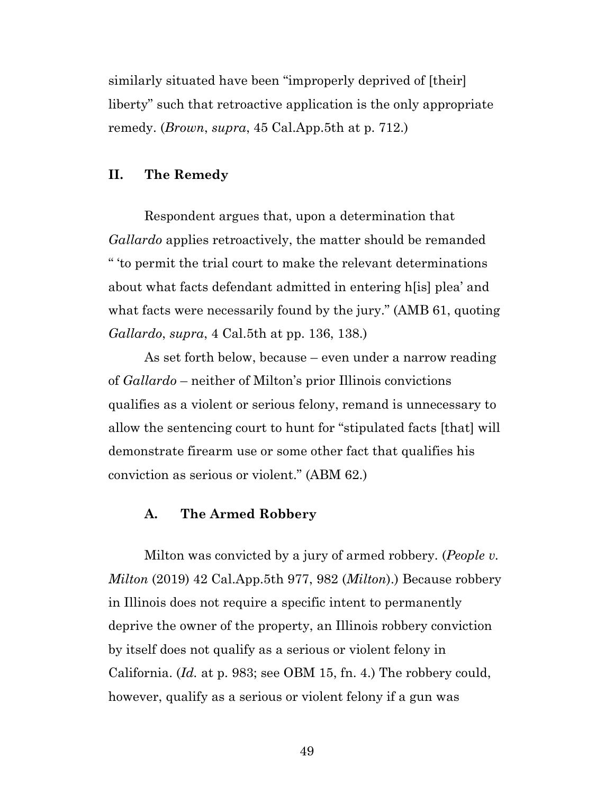<span id="page-48-0"></span>similarly situated have been "improperly deprived of [their] liberty" such that retroactive application is the only appropriate remedy. (*Brown*, *supra*, 45 Cal.App.5th at p. 712.)

#### **II. The Remedy**

Respondent argues that, upon a determination that *Gallardo* applies retroactively, the matter should be remanded " 'to permit the trial court to make the relevant determinations about what facts defendant admitted in entering h[is] plea' and what facts were necessarily found by the jury." (AMB 61, quoting *Gallardo*, *supra*, 4 Cal.5th at pp. 136, 138.)

As set forth below, because – even under a narrow reading of *Gallardo* – neither of Milton's prior Illinois convictions qualifies as a violent or serious felony, remand is unnecessary to allow the sentencing court to hunt for "stipulated facts [that] will demonstrate firearm use or some other fact that qualifies his conviction as serious or violent." (ABM 62.)

#### <span id="page-48-1"></span>**A. The Armed Robbery**

Milton was convicted by a jury of armed robbery. (*People v. Milton* (2019) 42 Cal.App.5th 977, 982 (*Milton*).) Because robbery in Illinois does not require a specific intent to permanently deprive the owner of the property, an Illinois robbery conviction by itself does not qualify as a serious or violent felony in California. (*Id.* at p. 983; see OBM 15, fn. 4.) The robbery could, however, qualify as a serious or violent felony if a gun was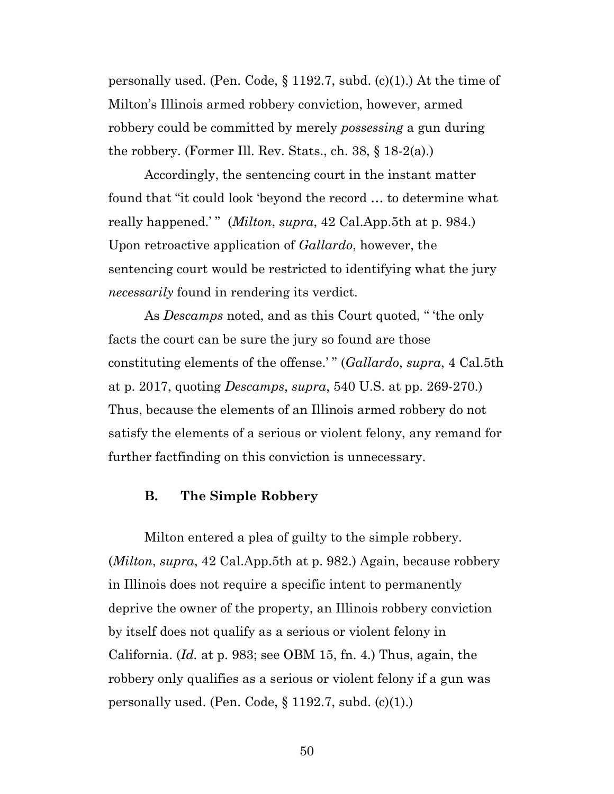<span id="page-49-1"></span>personally used. (Pen. Code,  $\S 1192.7$ , subd. (c)(1).) At the time of Milton's Illinois armed robbery conviction, however, armed robbery could be committed by merely *possessing* a gun during the robbery. (Former Ill. Rev. Stats., ch. 38, § 18-2(a).)

<span id="page-49-2"></span><span id="page-49-0"></span>Accordingly, the sentencing court in the instant matter found that "it could look 'beyond the record … to determine what really happened.'" (*Milton*, *supra*, 42 Cal.App.5th at p. 984.) Upon retroactive application of *Gallardo*, however, the sentencing court would be restricted to identifying what the jury *necessarily* found in rendering its verdict.

As *Descamps* noted, and as this Court quoted, " 'the only facts the court can be sure the jury so found are those constituting elements of the offense.' " (*Gallardo*, *supra*, 4 Cal.5th at p. 2017, quoting *Descamps*, *supra*, 540 U.S. at pp. 269-270.) Thus, because the elements of an Illinois armed robbery do not satisfy the elements of a serious or violent felony, any remand for further factfinding on this conviction is unnecessary.

#### **B. The Simple Robbery**

Milton entered a plea of guilty to the simple robbery. (*Milton*, *supra*, 42 Cal.App.5th at p. 982.) Again, because robbery in Illinois does not require a specific intent to permanently deprive the owner of the property, an Illinois robbery conviction by itself does not qualify as a serious or violent felony in California. (*Id.* at p. 983; see OBM 15, fn. 4.) Thus, again, the robbery only qualifies as a serious or violent felony if a gun was personally used. (Pen. Code,  $\S 1192.7$ , subd. (c)(1).)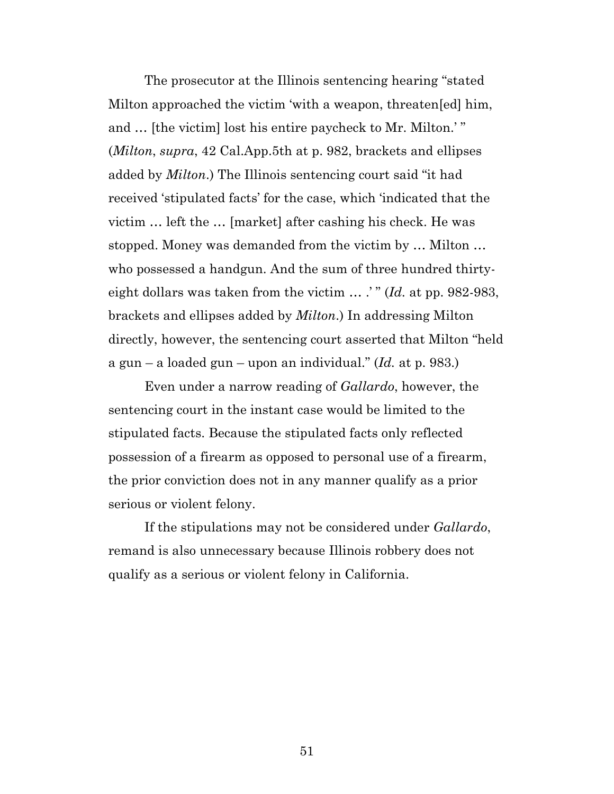<span id="page-50-0"></span>The prosecutor at the Illinois sentencing hearing "stated Milton approached the victim 'with a weapon, threaten[ed] him, and … [the victim] lost his entire paycheck to Mr. Milton.' " (*Milton*, *supra*, 42 Cal.App.5th at p. 982, brackets and ellipses added by *Milton*.) The Illinois sentencing court said "it had received 'stipulated facts' for the case, which 'indicated that the victim … left the … [market] after cashing his check. He was stopped. Money was demanded from the victim by … Milton … who possessed a handgun. And the sum of three hundred thirtyeight dollars was taken from the victim ... .'" (*Id.* at pp. 982-983, brackets and ellipses added by *Milton*.) In addressing Milton directly, however, the sentencing court asserted that Milton "held a gun – a loaded gun – upon an individual." (*Id.* at p. 983.)

Even under a narrow reading of *Gallardo*, however, the sentencing court in the instant case would be limited to the stipulated facts. Because the stipulated facts only reflected possession of a firearm as opposed to personal use of a firearm, the prior conviction does not in any manner qualify as a prior serious or violent felony.

If the stipulations may not be considered under *Gallardo*, remand is also unnecessary because Illinois robbery does not qualify as a serious or violent felony in California.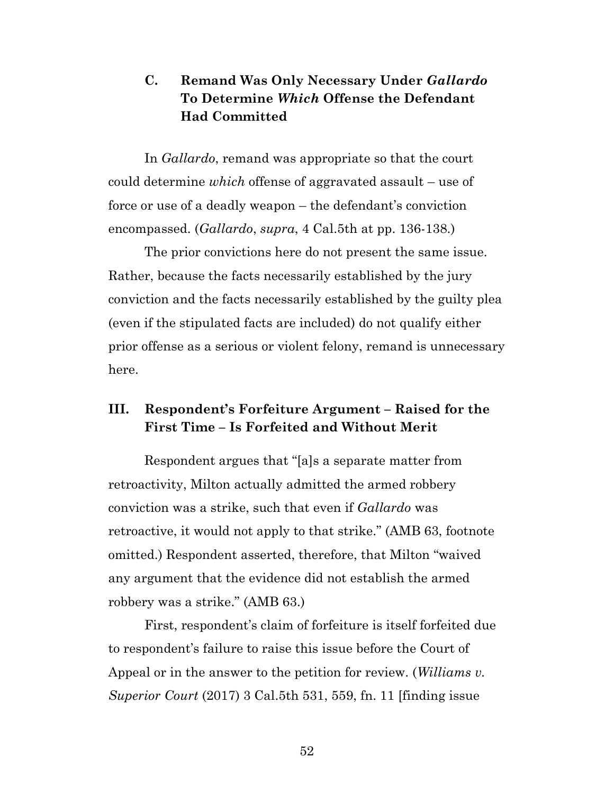## **C. Remand Was Only Necessary Under** *Gallardo*  **To Determine** *Which* **Offense the Defendant Had Committed**

In *Gallardo*, remand was appropriate so that the court could determine *which* offense of aggravated assault – use of force or use of a deadly weapon – the defendant's conviction encompassed. (*Gallardo*, *supra*, 4 Cal.5th at pp. 136-138.)

The prior convictions here do not present the same issue. Rather, because the facts necessarily established by the jury conviction and the facts necessarily established by the guilty plea (even if the stipulated facts are included) do not qualify either prior offense as a serious or violent felony, remand is unnecessary here.

## **III. Respondent's Forfeiture Argument – Raised for the First Time – Is Forfeited and Without Merit**

Respondent argues that "[a]s a separate matter from retroactivity, Milton actually admitted the armed robbery conviction was a strike, such that even if *Gallardo* was retroactive, it would not apply to that strike." (AMB 63, footnote omitted.) Respondent asserted, therefore, that Milton "waived any argument that the evidence did not establish the armed robbery was a strike." (AMB 63.)

<span id="page-51-0"></span>First, respondent's claim of forfeiture is itself forfeited due to respondent's failure to raise this issue before the Court of Appeal or in the answer to the petition for review. (*Williams v. Superior Court* (2017) 3 Cal.5th 531, 559, fn. 11 [finding issue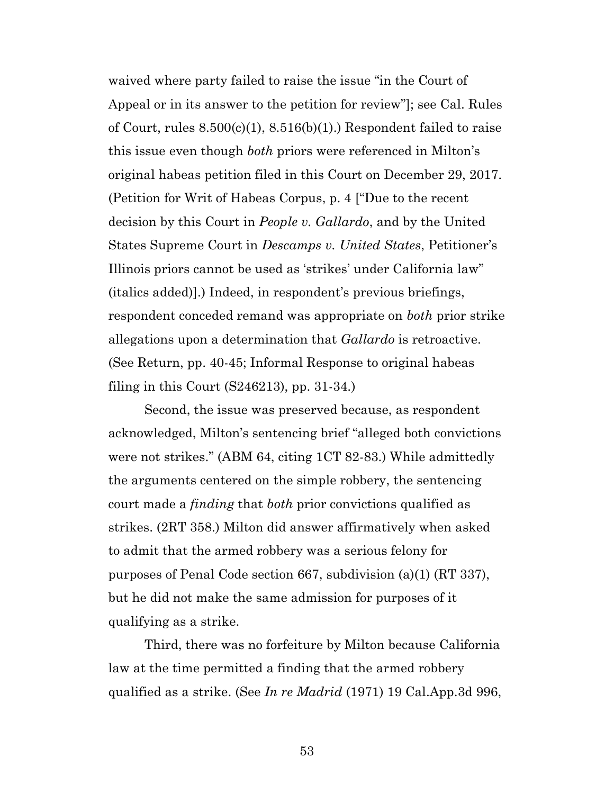<span id="page-52-2"></span>waived where party failed to raise the issue "in the Court of Appeal or in its answer to the petition for review"]; see Cal. Rules of Court, rules  $8.500(c)(1)$ ,  $8.516(b)(1)$ . Respondent failed to raise this issue even though *both* priors were referenced in Milton's original habeas petition filed in this Court on December 29, 2017. (Petition for Writ of Habeas Corpus, p. 4 ["Due to the recent decision by this Court in *People v. Gallardo*, and by the United States Supreme Court in *Descamps v. United States*, Petitioner's Illinois priors cannot be used as 'strikes' under California law" (italics added)].) Indeed, in respondent's previous briefings, respondent conceded remand was appropriate on *both* prior strike allegations upon a determination that *Gallardo* is retroactive. (See Return, pp. 40-45; Informal Response to original habeas filing in this Court (S246213), pp. 31-34.)

Second, the issue was preserved because, as respondent acknowledged, Milton's sentencing brief "alleged both convictions were not strikes." (ABM 64, citing 1CT 82-83.) While admittedly the arguments centered on the simple robbery, the sentencing court made a *finding* that *both* prior convictions qualified as strikes. (2RT 358.) Milton did answer affirmatively when asked to admit that the armed robbery was a serious felony for purposes of Penal Code section 667, subdivision (a)(1) (RT 337), but he did not make the same admission for purposes of it qualifying as a strike.

<span id="page-52-1"></span><span id="page-52-0"></span>Third, there was no forfeiture by Milton because California law at the time permitted a finding that the armed robbery qualified as a strike. (See *In re Madrid* (1971) 19 Cal.App.3d 996,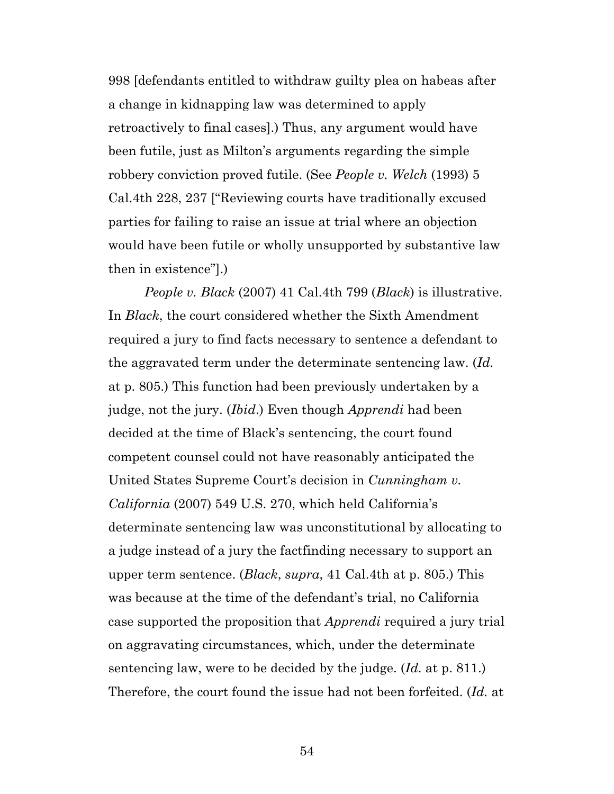<span id="page-53-2"></span>998 [defendants entitled to withdraw guilty plea on habeas after a change in kidnapping law was determined to apply retroactively to final cases].) Thus, any argument would have been futile, just as Milton's arguments regarding the simple robbery conviction proved futile. (See *People v. Welch* (1993) 5 Cal.4th 228, 237 ["Reviewing courts have traditionally excused parties for failing to raise an issue at trial where an objection would have been futile or wholly unsupported by substantive law then in existence"].)

<span id="page-53-1"></span><span id="page-53-0"></span>*People v. Black* (2007) 41 Cal.4th 799 (*Black*) is illustrative. In *Black*, the court considered whether the Sixth Amendment required a jury to find facts necessary to sentence a defendant to the aggravated term under the determinate sentencing law. (*Id.*  at p. 805.) This function had been previously undertaken by a judge, not the jury. (*Ibid*.) Even though *Apprendi* had been decided at the time of Black's sentencing, the court found competent counsel could not have reasonably anticipated the United States Supreme Court's decision in *Cunningham v. California* (2007) 549 U.S. 270, which held California's determinate sentencing law was unconstitutional by allocating to a judge instead of a jury the factfinding necessary to support an upper term sentence. (*Black*, *supra*, 41 Cal.4th at p. 805.) This was because at the time of the defendant's trial, no California case supported the proposition that *Apprendi* required a jury trial on aggravating circumstances, which, under the determinate sentencing law, were to be decided by the judge. (*Id.* at p. 811.) Therefore, the court found the issue had not been forfeited. (*Id.* at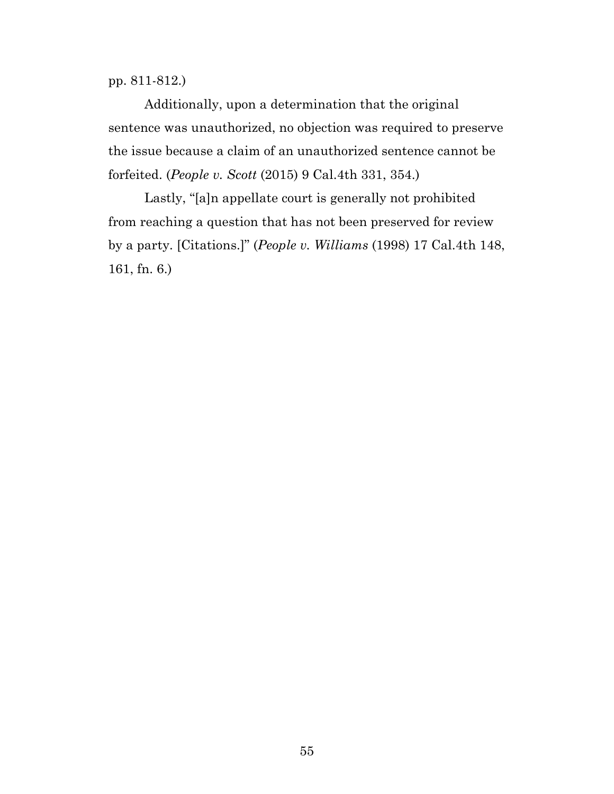pp. 811-812.)

Additionally, upon a determination that the original sentence was unauthorized, no objection was required to preserve the issue because a claim of an unauthorized sentence cannot be forfeited. (*People v. Scott* (2015) 9 Cal.4th 331, 354.)

<span id="page-54-1"></span><span id="page-54-0"></span>Lastly, "[a]n appellate court is generally not prohibited from reaching a question that has not been preserved for review by a party. [Citations.]" (*People v. Williams* (1998) 17 Cal.4th 148, 161, fn. 6.)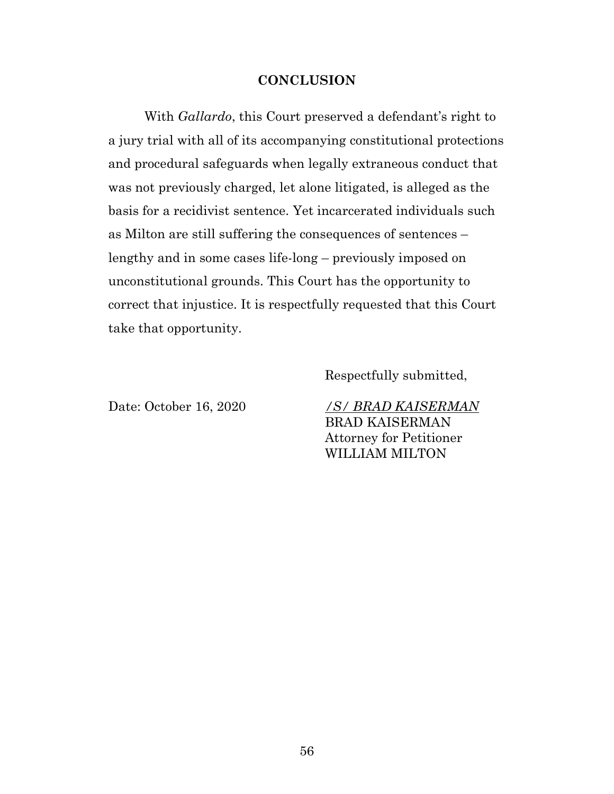#### **CONCLUSION**

With *Gallardo*, this Court preserved a defendant's right to a jury trial with all of its accompanying constitutional protections and procedural safeguards when legally extraneous conduct that was not previously charged, let alone litigated, is alleged as the basis for a recidivist sentence. Yet incarcerated individuals such as Milton are still suffering the consequences of sentences – lengthy and in some cases life-long – previously imposed on unconstitutional grounds. This Court has the opportunity to correct that injustice. It is respectfully requested that this Court take that opportunity.

Respectfully submitted,

Date: October 16, 2020 */S/ BRAD KAISERMAN* BRAD KAISERMAN Attorney for Petitioner WILLIAM MILTON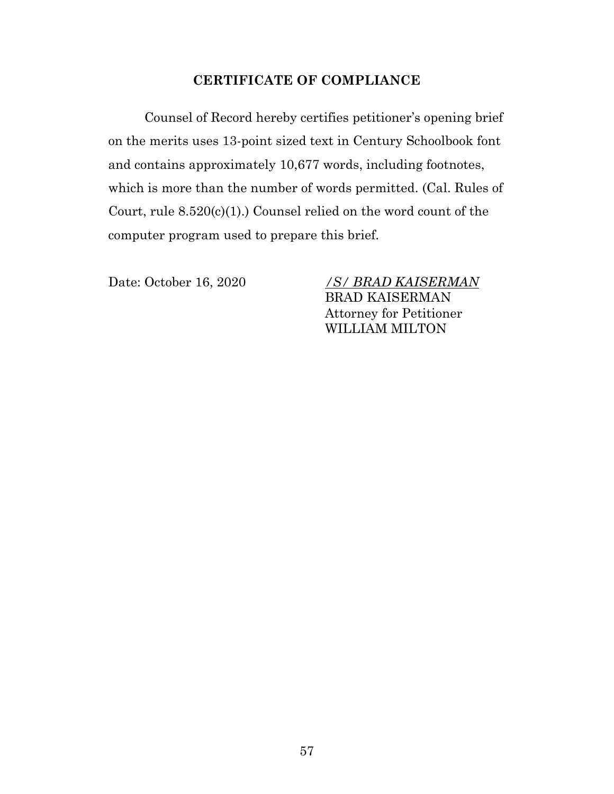## <span id="page-56-0"></span>**CERTIFICATE OF COMPLIANCE**

Counsel of Record hereby certifies petitioner's opening brief on the merits uses 13-point sized text in Century Schoolbook font and contains approximately 10,677 words, including footnotes, which is more than the number of words permitted. (Cal. Rules of Court, rule 8.520(c)(1).) Counsel relied on the word count of the computer program used to prepare this brief.

Date: October 16, 2020 */S/ BRAD KAISERMAN* BRAD KAISERMAN Attorney for Petitioner WILLIAM MILTON